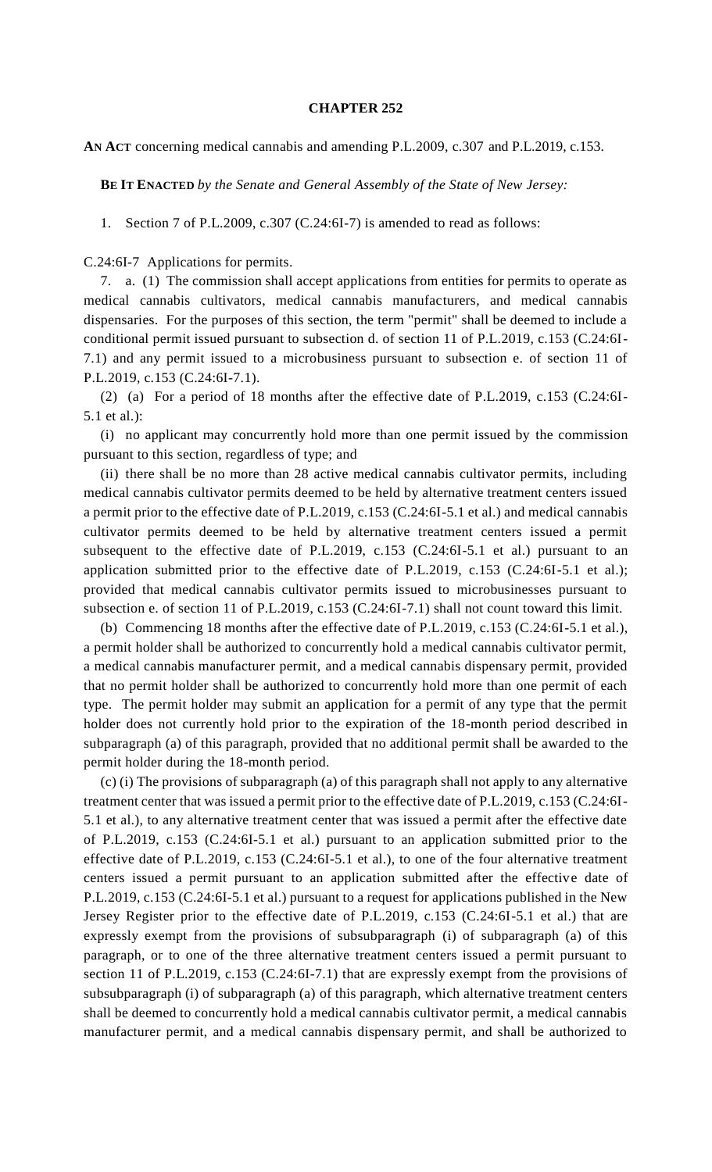## **CHAPTER 252**

**AN ACT** concerning medical cannabis and amending P.L.2009, c.307 and P.L.2019, c.153.

**BE IT ENACTED** *by the Senate and General Assembly of the State of New Jersey:*

1. Section 7 of P.L.2009, c.307 (C.24:6I-7) is amended to read as follows:

C.24:6I-7 Applications for permits.

7. a. (1) The commission shall accept applications from entities for permits to operate as medical cannabis cultivators, medical cannabis manufacturers, and medical cannabis dispensaries. For the purposes of this section, the term "permit" shall be deemed to include a conditional permit issued pursuant to subsection d. of section 11 of P.L.2019, c.153 (C.24:6I-7.1) and any permit issued to a microbusiness pursuant to subsection e. of section 11 of P.L.2019, c.153 (C.24:6I-7.1).

(2) (a) For a period of 18 months after the effective date of P.L.2019, c.153 (C.24:6I-5.1 et al.):

(i) no applicant may concurrently hold more than one permit issued by the commission pursuant to this section, regardless of type; and

(ii) there shall be no more than 28 active medical cannabis cultivator permits, including medical cannabis cultivator permits deemed to be held by alternative treatment centers issued a permit prior to the effective date of P.L.2019, c.153 (C.24:6I-5.1 et al.) and medical cannabis cultivator permits deemed to be held by alternative treatment centers issued a permit subsequent to the effective date of P.L.2019, c.153 (C.24:6I-5.1 et al.) pursuant to an application submitted prior to the effective date of P.L.2019, c.153 (C.24:6I-5.1 et al.); provided that medical cannabis cultivator permits issued to microbusinesses pursuant to subsection e. of section 11 of P.L.2019, c.153 (C.24:6I-7.1) shall not count toward this limit.

(b) Commencing 18 months after the effective date of P.L.2019, c.153 (C.24:6I-5.1 et al.), a permit holder shall be authorized to concurrently hold a medical cannabis cultivator permit, a medical cannabis manufacturer permit, and a medical cannabis dispensary permit, provided that no permit holder shall be authorized to concurrently hold more than one permit of each type. The permit holder may submit an application for a permit of any type that the permit holder does not currently hold prior to the expiration of the 18-month period described in subparagraph (a) of this paragraph, provided that no additional permit shall be awarded to the permit holder during the 18-month period.

(c) (i) The provisions of subparagraph (a) of this paragraph shall not apply to any alternative treatment center that was issued a permit prior to the effective date of P.L.2019, c.153 (C.24:6I-5.1 et al.), to any alternative treatment center that was issued a permit after the effective date of P.L.2019, c.153 (C.24:6I-5.1 et al.) pursuant to an application submitted prior to the effective date of P.L.2019, c.153 (C.24:6I-5.1 et al.), to one of the four alternative treatment centers issued a permit pursuant to an application submitted after the effective date of P.L.2019, c.153 (C.24:6I-5.1 et al.) pursuant to a request for applications published in the New Jersey Register prior to the effective date of P.L.2019, c.153 (C.24:6I-5.1 et al.) that are expressly exempt from the provisions of subsubparagraph (i) of subparagraph (a) of this paragraph, or to one of the three alternative treatment centers issued a permit pursuant to section 11 of P.L.2019, c.153 (C.24:6I-7.1) that are expressly exempt from the provisions of subsubparagraph (i) of subparagraph (a) of this paragraph, which alternative treatment centers shall be deemed to concurrently hold a medical cannabis cultivator permit, a medical cannabis manufacturer permit, and a medical cannabis dispensary permit, and shall be authorized to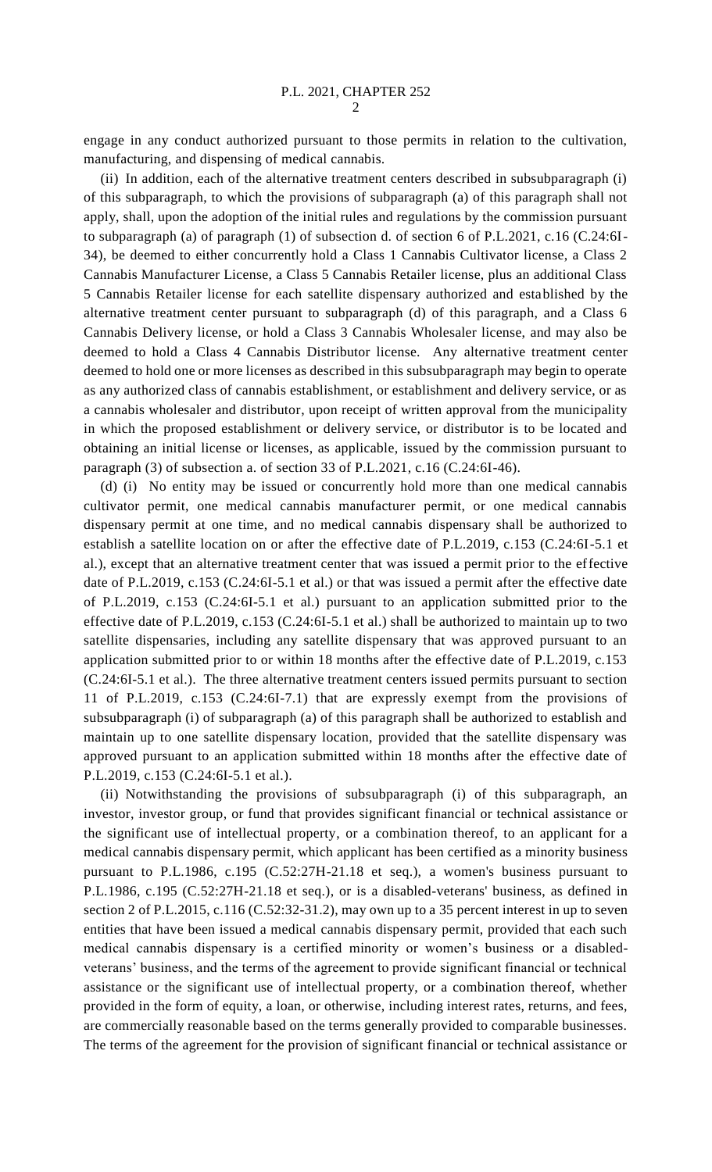engage in any conduct authorized pursuant to those permits in relation to the cultivation, manufacturing, and dispensing of medical cannabis.

(ii) In addition, each of the alternative treatment centers described in subsubparagraph (i) of this subparagraph, to which the provisions of subparagraph (a) of this paragraph shall not apply, shall, upon the adoption of the initial rules and regulations by the commission pursuant to subparagraph (a) of paragraph (1) of subsection d. of section 6 of P.L.2021, c.16 (C.24:6I-34), be deemed to either concurrently hold a Class 1 Cannabis Cultivator license, a Class 2 Cannabis Manufacturer License, a Class 5 Cannabis Retailer license, plus an additional Class 5 Cannabis Retailer license for each satellite dispensary authorized and established by the alternative treatment center pursuant to subparagraph (d) of this paragraph, and a Class 6 Cannabis Delivery license, or hold a Class 3 Cannabis Wholesaler license, and may also be deemed to hold a Class 4 Cannabis Distributor license. Any alternative treatment center deemed to hold one or more licenses as described in this subsubparagraph may begin to operate as any authorized class of cannabis establishment, or establishment and delivery service, or as a cannabis wholesaler and distributor, upon receipt of written approval from the municipality in which the proposed establishment or delivery service, or distributor is to be located and obtaining an initial license or licenses, as applicable, issued by the commission pursuant to paragraph (3) of subsection a. of section 33 of P.L.2021, c.16 (C.24:6I-46).

(d) (i) No entity may be issued or concurrently hold more than one medical cannabis cultivator permit, one medical cannabis manufacturer permit, or one medical cannabis dispensary permit at one time, and no medical cannabis dispensary shall be authorized to establish a satellite location on or after the effective date of P.L.2019, c.153 (C.24:6I-5.1 et al.), except that an alternative treatment center that was issued a permit prior to the effective date of P.L.2019, c.153 (C.24:6I-5.1 et al.) or that was issued a permit after the effective date of P.L.2019, c.153 (C.24:6I-5.1 et al.) pursuant to an application submitted prior to the effective date of P.L.2019, c.153 (C.24:6I-5.1 et al.) shall be authorized to maintain up to two satellite dispensaries, including any satellite dispensary that was approved pursuant to an application submitted prior to or within 18 months after the effective date of P.L.2019, c.153 (C.24:6I-5.1 et al.). The three alternative treatment centers issued permits pursuant to section 11 of P.L.2019, c.153 (C.24:6I-7.1) that are expressly exempt from the provisions of subsubparagraph (i) of subparagraph (a) of this paragraph shall be authorized to establish and maintain up to one satellite dispensary location, provided that the satellite dispensary was approved pursuant to an application submitted within 18 months after the effective date of P.L.2019, c.153 (C.24:6I-5.1 et al.).

(ii) Notwithstanding the provisions of subsubparagraph (i) of this subparagraph, an investor, investor group, or fund that provides significant financial or technical assistance or the significant use of intellectual property, or a combination thereof, to an applicant for a medical cannabis dispensary permit, which applicant has been certified as a minority business pursuant to P.L.1986, c.195 (C.52:27H-21.18 et seq.), a women's business pursuant to P.L.1986, c.195 (C.52:27H-21.18 et seq.), or is a disabled-veterans' business, as defined in section 2 of P.L.2015, c.116 (C.52:32-31.2), may own up to a 35 percent interest in up to seven entities that have been issued a medical cannabis dispensary permit, provided that each such medical cannabis dispensary is a certified minority or women's business or a disabledveterans' business, and the terms of the agreement to provide significant financial or technical assistance or the significant use of intellectual property, or a combination thereof, whether provided in the form of equity, a loan, or otherwise, including interest rates, returns, and fees, are commercially reasonable based on the terms generally provided to comparable businesses. The terms of the agreement for the provision of significant financial or technical assistance or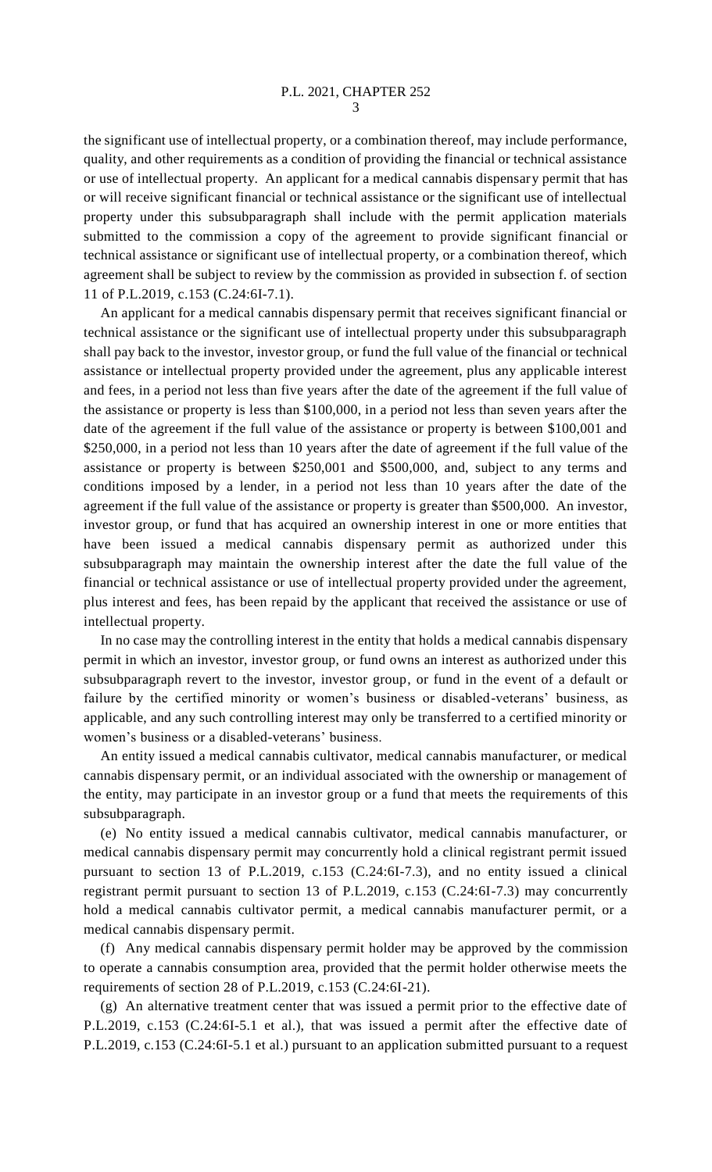the significant use of intellectual property, or a combination thereof, may include performance, quality, and other requirements as a condition of providing the financial or technical assistance or use of intellectual property. An applicant for a medical cannabis dispensary permit that has or will receive significant financial or technical assistance or the significant use of intellectual property under this subsubparagraph shall include with the permit application materials submitted to the commission a copy of the agreement to provide significant financial or technical assistance or significant use of intellectual property, or a combination thereof, which agreement shall be subject to review by the commission as provided in subsection f. of section 11 of P.L.2019, c.153 (C.24:6I-7.1).

An applicant for a medical cannabis dispensary permit that receives significant financial or technical assistance or the significant use of intellectual property under this subsubparagraph shall pay back to the investor, investor group, or fund the full value of the financial or technical assistance or intellectual property provided under the agreement, plus any applicable interest and fees, in a period not less than five years after the date of the agreement if the full value of the assistance or property is less than \$100,000, in a period not less than seven years after the date of the agreement if the full value of the assistance or property is between \$100,001 and \$250,000, in a period not less than 10 years after the date of agreement if the full value of the assistance or property is between \$250,001 and \$500,000, and, subject to any terms and conditions imposed by a lender, in a period not less than 10 years after the date of the agreement if the full value of the assistance or property is greater than \$500,000. An investor, investor group, or fund that has acquired an ownership interest in one or more entities that have been issued a medical cannabis dispensary permit as authorized under this subsubparagraph may maintain the ownership interest after the date the full value of the financial or technical assistance or use of intellectual property provided under the agreement, plus interest and fees, has been repaid by the applicant that received the assistance or use of intellectual property.

In no case may the controlling interest in the entity that holds a medical cannabis dispensary permit in which an investor, investor group, or fund owns an interest as authorized under this subsubparagraph revert to the investor, investor group, or fund in the event of a default or failure by the certified minority or women's business or disabled-veterans' business, as applicable, and any such controlling interest may only be transferred to a certified minority or women's business or a disabled-veterans' business.

An entity issued a medical cannabis cultivator, medical cannabis manufacturer, or medical cannabis dispensary permit, or an individual associated with the ownership or management of the entity, may participate in an investor group or a fund that meets the requirements of this subsubparagraph.

(e) No entity issued a medical cannabis cultivator, medical cannabis manufacturer, or medical cannabis dispensary permit may concurrently hold a clinical registrant permit issued pursuant to section 13 of P.L.2019, c.153 (C.24:6I-7.3), and no entity issued a clinical registrant permit pursuant to section 13 of P.L.2019, c.153 (C.24:6I-7.3) may concurrently hold a medical cannabis cultivator permit, a medical cannabis manufacturer permit, or a medical cannabis dispensary permit.

(f) Any medical cannabis dispensary permit holder may be approved by the commission to operate a cannabis consumption area, provided that the permit holder otherwise meets the requirements of section 28 of P.L.2019, c.153 (C.24:6I-21).

(g) An alternative treatment center that was issued a permit prior to the effective date of P.L.2019, c.153 (C.24:6I-5.1 et al.), that was issued a permit after the effective date of P.L.2019, c.153 (C.24:6I-5.1 et al.) pursuant to an application submitted pursuant to a request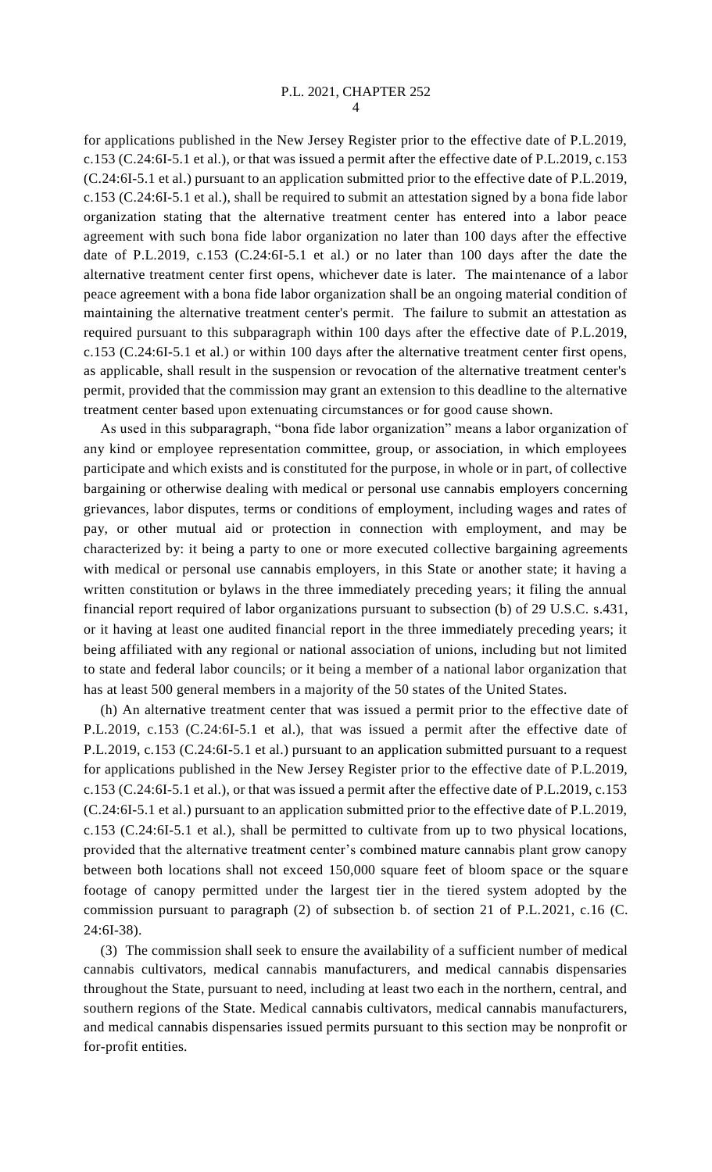for applications published in the New Jersey Register prior to the effective date of P.L.2019, c.153 (C.24:6I-5.1 et al.), or that was issued a permit after the effective date of P.L.2019, c.153 (C.24:6I-5.1 et al.) pursuant to an application submitted prior to the effective date of P.L.2019, c.153 (C.24:6I-5.1 et al.), shall be required to submit an attestation signed by a bona fide labor organization stating that the alternative treatment center has entered into a labor peace agreement with such bona fide labor organization no later than 100 days after the effective date of P.L.2019, c.153 (C.24:6I-5.1 et al.) or no later than 100 days after the date the alternative treatment center first opens, whichever date is later. The maintenance of a labor peace agreement with a bona fide labor organization shall be an ongoing material condition of maintaining the alternative treatment center's permit. The failure to submit an attestation as required pursuant to this subparagraph within 100 days after the effective date of P.L.2019, c.153 (C.24:6I-5.1 et al.) or within 100 days after the alternative treatment center first opens, as applicable, shall result in the suspension or revocation of the alternative treatment center's permit, provided that the commission may grant an extension to this deadline to the alternative treatment center based upon extenuating circumstances or for good cause shown.

As used in this subparagraph, "bona fide labor organization" means a labor organization of any kind or employee representation committee, group, or association, in which employees participate and which exists and is constituted for the purpose, in whole or in part, of collective bargaining or otherwise dealing with medical or personal use cannabis employers concerning grievances, labor disputes, terms or conditions of employment, including wages and rates of pay, or other mutual aid or protection in connection with employment, and may be characterized by: it being a party to one or more executed collective bargaining agreements with medical or personal use cannabis employers, in this State or another state; it having a written constitution or bylaws in the three immediately preceding years; it filing the annual financial report required of labor organizations pursuant to subsection (b) of 29 U.S.C. s.431, or it having at least one audited financial report in the three immediately preceding years; it being affiliated with any regional or national association of unions, including but not limited to state and federal labor councils; or it being a member of a national labor organization that has at least 500 general members in a majority of the 50 states of the United States.

(h) An alternative treatment center that was issued a permit prior to the effective date of P.L.2019, c.153 (C.24:6I-5.1 et al.), that was issued a permit after the effective date of P.L.2019, c.153 (C.24:6I-5.1 et al.) pursuant to an application submitted pursuant to a request for applications published in the New Jersey Register prior to the effective date of P.L.2019, c.153 (C.24:6I-5.1 et al.), or that was issued a permit after the effective date of P.L.2019, c.153 (C.24:6I-5.1 et al.) pursuant to an application submitted prior to the effective date of P.L.2019, c.153 (C.24:6I-5.1 et al.), shall be permitted to cultivate from up to two physical locations, provided that the alternative treatment center's combined mature cannabis plant grow canopy between both locations shall not exceed 150,000 square feet of bloom space or the square footage of canopy permitted under the largest tier in the tiered system adopted by the commission pursuant to paragraph (2) of subsection b. of section 21 of P.L.2021, c.16 (C. 24:6I-38).

(3) The commission shall seek to ensure the availability of a sufficient number of medical cannabis cultivators, medical cannabis manufacturers, and medical cannabis dispensaries throughout the State, pursuant to need, including at least two each in the northern, central, and southern regions of the State. Medical cannabis cultivators, medical cannabis manufacturers, and medical cannabis dispensaries issued permits pursuant to this section may be nonprofit or for-profit entities.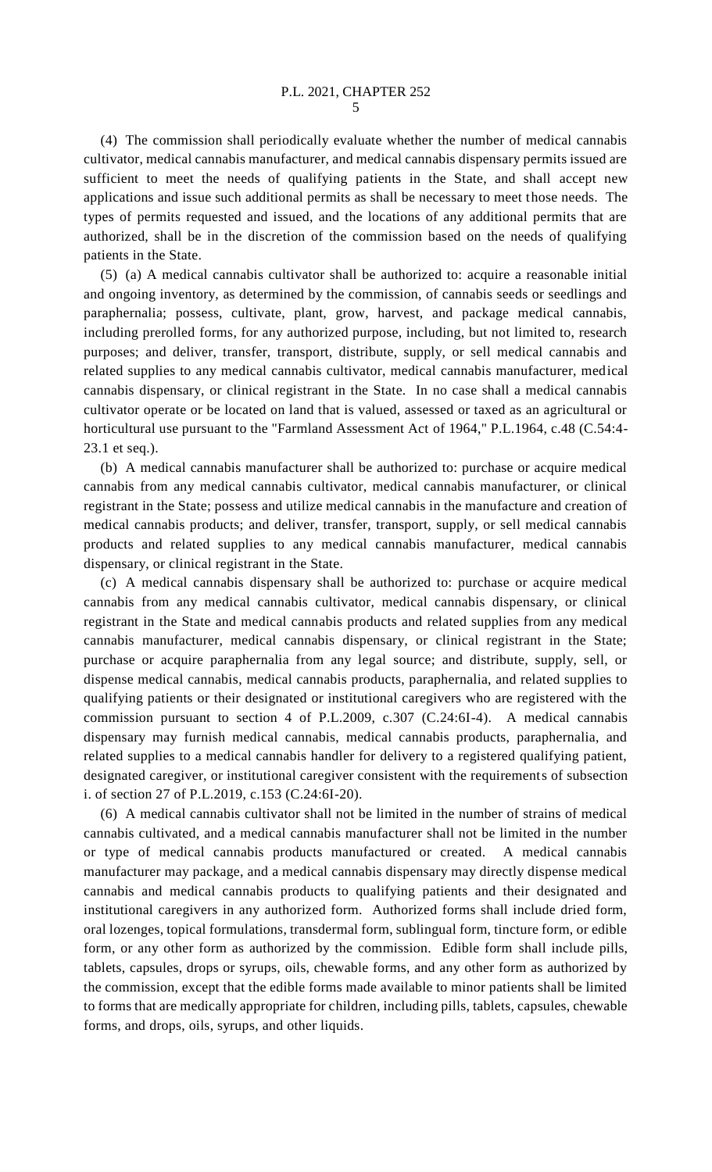(4) The commission shall periodically evaluate whether the number of medical cannabis cultivator, medical cannabis manufacturer, and medical cannabis dispensary permits issued are sufficient to meet the needs of qualifying patients in the State, and shall accept new applications and issue such additional permits as shall be necessary to meet those needs. The types of permits requested and issued, and the locations of any additional permits that are authorized, shall be in the discretion of the commission based on the needs of qualifying patients in the State.

(5) (a) A medical cannabis cultivator shall be authorized to: acquire a reasonable initial and ongoing inventory, as determined by the commission, of cannabis seeds or seedlings and paraphernalia; possess, cultivate, plant, grow, harvest, and package medical cannabis, including prerolled forms, for any authorized purpose, including, but not limited to, research purposes; and deliver, transfer, transport, distribute, supply, or sell medical cannabis and related supplies to any medical cannabis cultivator, medical cannabis manufacturer, medical cannabis dispensary, or clinical registrant in the State. In no case shall a medical cannabis cultivator operate or be located on land that is valued, assessed or taxed as an agricultural or horticultural use pursuant to the "Farmland Assessment Act of 1964," P.L.1964, c.48 (C.54:4- 23.1 et seq.).

(b) A medical cannabis manufacturer shall be authorized to: purchase or acquire medical cannabis from any medical cannabis cultivator, medical cannabis manufacturer, or clinical registrant in the State; possess and utilize medical cannabis in the manufacture and creation of medical cannabis products; and deliver, transfer, transport, supply, or sell medical cannabis products and related supplies to any medical cannabis manufacturer, medical cannabis dispensary, or clinical registrant in the State.

(c) A medical cannabis dispensary shall be authorized to: purchase or acquire medical cannabis from any medical cannabis cultivator, medical cannabis dispensary, or clinical registrant in the State and medical cannabis products and related supplies from any medical cannabis manufacturer, medical cannabis dispensary, or clinical registrant in the State; purchase or acquire paraphernalia from any legal source; and distribute, supply, sell, or dispense medical cannabis, medical cannabis products, paraphernalia, and related supplies to qualifying patients or their designated or institutional caregivers who are registered with the commission pursuant to section 4 of P.L.2009, c.307 (C.24:6I-4). A medical cannabis dispensary may furnish medical cannabis, medical cannabis products, paraphernalia, and related supplies to a medical cannabis handler for delivery to a registered qualifying patient, designated caregiver, or institutional caregiver consistent with the requirements of subsection i. of section 27 of P.L.2019, c.153 (C.24:6I-20).

(6) A medical cannabis cultivator shall not be limited in the number of strains of medical cannabis cultivated, and a medical cannabis manufacturer shall not be limited in the number or type of medical cannabis products manufactured or created. A medical cannabis manufacturer may package, and a medical cannabis dispensary may directly dispense medical cannabis and medical cannabis products to qualifying patients and their designated and institutional caregivers in any authorized form. Authorized forms shall include dried form, oral lozenges, topical formulations, transdermal form, sublingual form, tincture form, or edible form, or any other form as authorized by the commission. Edible form shall include pills, tablets, capsules, drops or syrups, oils, chewable forms, and any other form as authorized by the commission, except that the edible forms made available to minor patients shall be limited to forms that are medically appropriate for children, including pills, tablets, capsules, chewable forms, and drops, oils, syrups, and other liquids.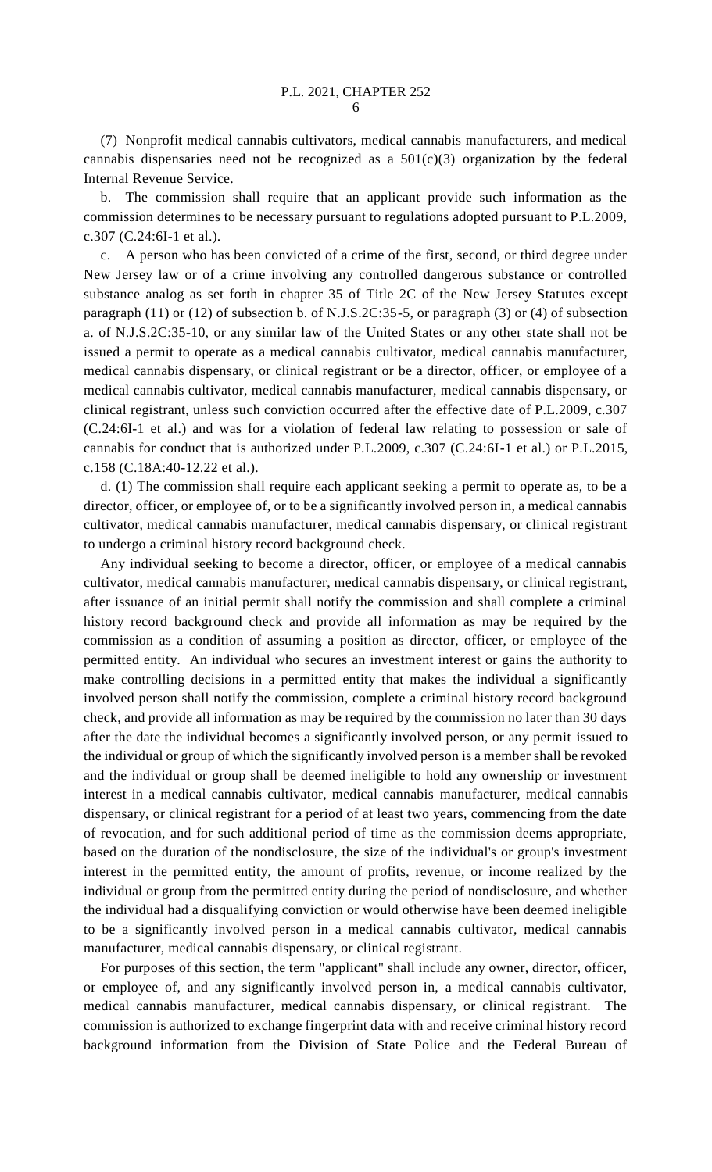(7) Nonprofit medical cannabis cultivators, medical cannabis manufacturers, and medical cannabis dispensaries need not be recognized as a  $501(c)(3)$  organization by the federal Internal Revenue Service.

b. The commission shall require that an applicant provide such information as the commission determines to be necessary pursuant to regulations adopted pursuant to P.L.2009, c.307 (C.24:6I-1 et al.).

c. A person who has been convicted of a crime of the first, second, or third degree under New Jersey law or of a crime involving any controlled dangerous substance or controlled substance analog as set forth in chapter 35 of Title 2C of the New Jersey Statutes except paragraph (11) or (12) of subsection b. of N.J.S.2C:35-5, or paragraph (3) or (4) of subsection a. of N.J.S.2C:35-10, or any similar law of the United States or any other state shall not be issued a permit to operate as a medical cannabis cultivator, medical cannabis manufacturer, medical cannabis dispensary, or clinical registrant or be a director, officer, or employee of a medical cannabis cultivator, medical cannabis manufacturer, medical cannabis dispensary, or clinical registrant, unless such conviction occurred after the effective date of P.L.2009, c.307 (C.24:6I-1 et al.) and was for a violation of federal law relating to possession or sale of cannabis for conduct that is authorized under P.L.2009, c.307 (C.24:6I-1 et al.) or P.L.2015, c.158 (C.18A:40-12.22 et al.).

d. (1) The commission shall require each applicant seeking a permit to operate as, to be a director, officer, or employee of, or to be a significantly involved person in, a medical cannabis cultivator, medical cannabis manufacturer, medical cannabis dispensary, or clinical registrant to undergo a criminal history record background check.

Any individual seeking to become a director, officer, or employee of a medical cannabis cultivator, medical cannabis manufacturer, medical cannabis dispensary, or clinical registrant, after issuance of an initial permit shall notify the commission and shall complete a criminal history record background check and provide all information as may be required by the commission as a condition of assuming a position as director, officer, or employee of the permitted entity. An individual who secures an investment interest or gains the authority to make controlling decisions in a permitted entity that makes the individual a significantly involved person shall notify the commission, complete a criminal history record background check, and provide all information as may be required by the commission no later than 30 days after the date the individual becomes a significantly involved person, or any permit issued to the individual or group of which the significantly involved person is a member shall be revoked and the individual or group shall be deemed ineligible to hold any ownership or investment interest in a medical cannabis cultivator, medical cannabis manufacturer, medical cannabis dispensary, or clinical registrant for a period of at least two years, commencing from the date of revocation, and for such additional period of time as the commission deems appropriate, based on the duration of the nondisclosure, the size of the individual's or group's investment interest in the permitted entity, the amount of profits, revenue, or income realized by the individual or group from the permitted entity during the period of nondisclosure, and whether the individual had a disqualifying conviction or would otherwise have been deemed ineligible to be a significantly involved person in a medical cannabis cultivator, medical cannabis manufacturer, medical cannabis dispensary, or clinical registrant.

For purposes of this section, the term "applicant" shall include any owner, director, officer, or employee of, and any significantly involved person in, a medical cannabis cultivator, medical cannabis manufacturer, medical cannabis dispensary, or clinical registrant. The commission is authorized to exchange fingerprint data with and receive criminal history record background information from the Division of State Police and the Federal Bureau of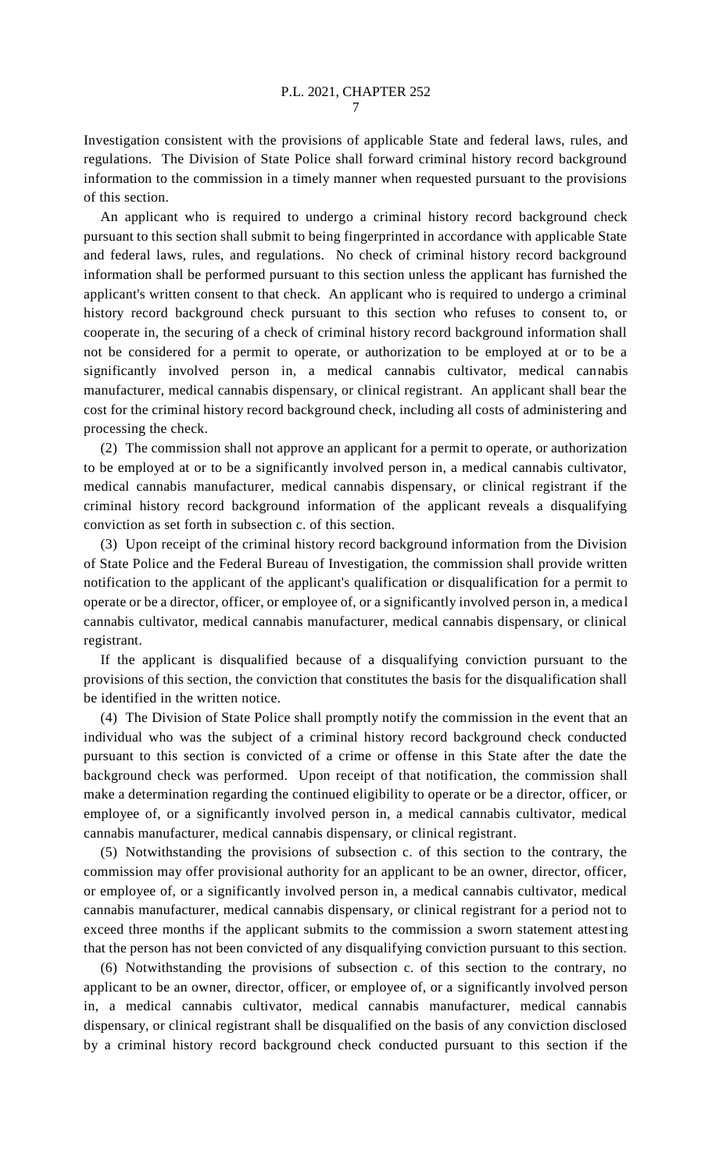Investigation consistent with the provisions of applicable State and federal laws, rules, and regulations. The Division of State Police shall forward criminal history record background information to the commission in a timely manner when requested pursuant to the provisions of this section.

An applicant who is required to undergo a criminal history record background check pursuant to this section shall submit to being fingerprinted in accordance with applicable State and federal laws, rules, and regulations. No check of criminal history record background information shall be performed pursuant to this section unless the applicant has furnished the applicant's written consent to that check. An applicant who is required to undergo a criminal history record background check pursuant to this section who refuses to consent to, or cooperate in, the securing of a check of criminal history record background information shall not be considered for a permit to operate, or authorization to be employed at or to be a significantly involved person in, a medical cannabis cultivator, medical cannabis manufacturer, medical cannabis dispensary, or clinical registrant. An applicant shall bear the cost for the criminal history record background check, including all costs of administering and processing the check.

(2) The commission shall not approve an applicant for a permit to operate, or authorization to be employed at or to be a significantly involved person in, a medical cannabis cultivator, medical cannabis manufacturer, medical cannabis dispensary, or clinical registrant if the criminal history record background information of the applicant reveals a disqualifying conviction as set forth in subsection c. of this section.

(3) Upon receipt of the criminal history record background information from the Division of State Police and the Federal Bureau of Investigation, the commission shall provide written notification to the applicant of the applicant's qualification or disqualification for a permit to operate or be a director, officer, or employee of, or a significantly involved person in, a medical cannabis cultivator, medical cannabis manufacturer, medical cannabis dispensary, or clinical registrant.

If the applicant is disqualified because of a disqualifying conviction pursuant to the provisions of this section, the conviction that constitutes the basis for the disqualification shall be identified in the written notice.

(4) The Division of State Police shall promptly notify the commission in the event that an individual who was the subject of a criminal history record background check conducted pursuant to this section is convicted of a crime or offense in this State after the date the background check was performed. Upon receipt of that notification, the commission shall make a determination regarding the continued eligibility to operate or be a director, officer, or employee of, or a significantly involved person in, a medical cannabis cultivator, medical cannabis manufacturer, medical cannabis dispensary, or clinical registrant.

(5) Notwithstanding the provisions of subsection c. of this section to the contrary, the commission may offer provisional authority for an applicant to be an owner, director, officer, or employee of, or a significantly involved person in, a medical cannabis cultivator, medical cannabis manufacturer, medical cannabis dispensary, or clinical registrant for a period not to exceed three months if the applicant submits to the commission a sworn statement attesting that the person has not been convicted of any disqualifying conviction pursuant to this section.

(6) Notwithstanding the provisions of subsection c. of this section to the contrary, no applicant to be an owner, director, officer, or employee of, or a significantly involved person in, a medical cannabis cultivator, medical cannabis manufacturer, medical cannabis dispensary, or clinical registrant shall be disqualified on the basis of any conviction disclosed by a criminal history record background check conducted pursuant to this section if the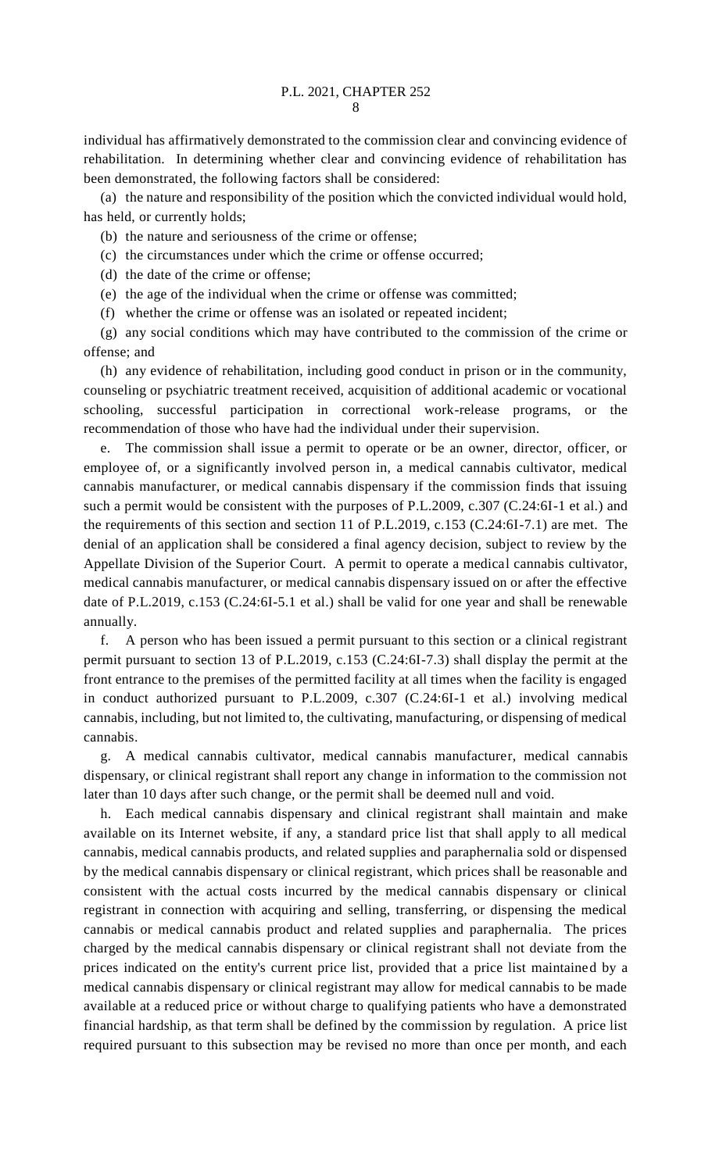individual has affirmatively demonstrated to the commission clear and convincing evidence of rehabilitation. In determining whether clear and convincing evidence of rehabilitation has been demonstrated, the following factors shall be considered:

(a) the nature and responsibility of the position which the convicted individual would hold, has held, or currently holds;

(b) the nature and seriousness of the crime or offense;

(c) the circumstances under which the crime or offense occurred;

(d) the date of the crime or offense;

(e) the age of the individual when the crime or offense was committed;

(f) whether the crime or offense was an isolated or repeated incident;

(g) any social conditions which may have contributed to the commission of the crime or offense; and

(h) any evidence of rehabilitation, including good conduct in prison or in the community, counseling or psychiatric treatment received, acquisition of additional academic or vocational schooling, successful participation in correctional work-release programs, or the recommendation of those who have had the individual under their supervision.

e. The commission shall issue a permit to operate or be an owner, director, officer, or employee of, or a significantly involved person in, a medical cannabis cultivator, medical cannabis manufacturer, or medical cannabis dispensary if the commission finds that issuing such a permit would be consistent with the purposes of P.L.2009, c.307 (C.24:6I-1 et al.) and the requirements of this section and section 11 of P.L.2019, c.153 (C.24:6I-7.1) are met. The denial of an application shall be considered a final agency decision, subject to review by the Appellate Division of the Superior Court. A permit to operate a medical cannabis cultivator, medical cannabis manufacturer, or medical cannabis dispensary issued on or after the effective date of P.L.2019, c.153 (C.24:6I-5.1 et al.) shall be valid for one year and shall be renewable annually.

f. A person who has been issued a permit pursuant to this section or a clinical registrant permit pursuant to section 13 of P.L.2019, c.153 (C.24:6I-7.3) shall display the permit at the front entrance to the premises of the permitted facility at all times when the facility is engaged in conduct authorized pursuant to P.L.2009, c.307 (C.24:6I-1 et al.) involving medical cannabis, including, but not limited to, the cultivating, manufacturing, or dispensing of medical cannabis.

g. A medical cannabis cultivator, medical cannabis manufacturer, medical cannabis dispensary, or clinical registrant shall report any change in information to the commission not later than 10 days after such change, or the permit shall be deemed null and void.

h. Each medical cannabis dispensary and clinical registrant shall maintain and make available on its Internet website, if any, a standard price list that shall apply to all medical cannabis, medical cannabis products, and related supplies and paraphernalia sold or dispensed by the medical cannabis dispensary or clinical registrant, which prices shall be reasonable and consistent with the actual costs incurred by the medical cannabis dispensary or clinical registrant in connection with acquiring and selling, transferring, or dispensing the medical cannabis or medical cannabis product and related supplies and paraphernalia. The prices charged by the medical cannabis dispensary or clinical registrant shall not deviate from the prices indicated on the entity's current price list, provided that a price list maintained by a medical cannabis dispensary or clinical registrant may allow for medical cannabis to be made available at a reduced price or without charge to qualifying patients who have a demonstrated financial hardship, as that term shall be defined by the commission by regulation. A price list required pursuant to this subsection may be revised no more than once per month, and each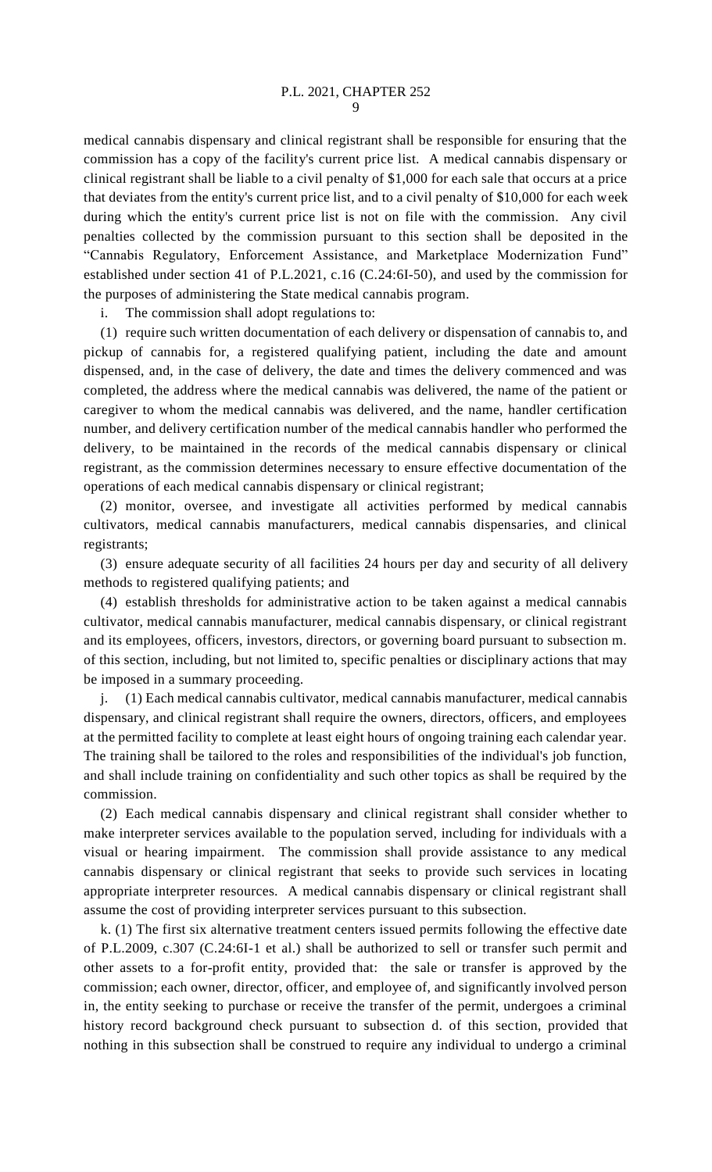medical cannabis dispensary and clinical registrant shall be responsible for ensuring that the commission has a copy of the facility's current price list. A medical cannabis dispensary or clinical registrant shall be liable to a civil penalty of \$1,000 for each sale that occurs at a price that deviates from the entity's current price list, and to a civil penalty of \$10,000 for each week during which the entity's current price list is not on file with the commission. Any civil penalties collected by the commission pursuant to this section shall be deposited in the "Cannabis Regulatory, Enforcement Assistance, and Marketplace Modernization Fund" established under section 41 of P.L.2021, c.16 (C.24:6I-50), and used by the commission for the purposes of administering the State medical cannabis program.

i. The commission shall adopt regulations to:

(1) require such written documentation of each delivery or dispensation of cannabis to, and pickup of cannabis for, a registered qualifying patient, including the date and amount dispensed, and, in the case of delivery, the date and times the delivery commenced and was completed, the address where the medical cannabis was delivered, the name of the patient or caregiver to whom the medical cannabis was delivered, and the name, handler certification number, and delivery certification number of the medical cannabis handler who performed the delivery, to be maintained in the records of the medical cannabis dispensary or clinical registrant, as the commission determines necessary to ensure effective documentation of the operations of each medical cannabis dispensary or clinical registrant;

(2) monitor, oversee, and investigate all activities performed by medical cannabis cultivators, medical cannabis manufacturers, medical cannabis dispensaries, and clinical registrants;

(3) ensure adequate security of all facilities 24 hours per day and security of all delivery methods to registered qualifying patients; and

(4) establish thresholds for administrative action to be taken against a medical cannabis cultivator, medical cannabis manufacturer, medical cannabis dispensary, or clinical registrant and its employees, officers, investors, directors, or governing board pursuant to subsection m. of this section, including, but not limited to, specific penalties or disciplinary actions that may be imposed in a summary proceeding.

j. (1) Each medical cannabis cultivator, medical cannabis manufacturer, medical cannabis dispensary, and clinical registrant shall require the owners, directors, officers, and employees at the permitted facility to complete at least eight hours of ongoing training each calendar year. The training shall be tailored to the roles and responsibilities of the individual's job function, and shall include training on confidentiality and such other topics as shall be required by the commission.

(2) Each medical cannabis dispensary and clinical registrant shall consider whether to make interpreter services available to the population served, including for individuals with a visual or hearing impairment. The commission shall provide assistance to any medical cannabis dispensary or clinical registrant that seeks to provide such services in locating appropriate interpreter resources. A medical cannabis dispensary or clinical registrant shall assume the cost of providing interpreter services pursuant to this subsection.

k. (1) The first six alternative treatment centers issued permits following the effective date of P.L.2009, c.307 (C.24:6I-1 et al.) shall be authorized to sell or transfer such permit and other assets to a for-profit entity, provided that: the sale or transfer is approved by the commission; each owner, director, officer, and employee of, and significantly involved person in, the entity seeking to purchase or receive the transfer of the permit, undergoes a criminal history record background check pursuant to subsection d. of this section, provided that nothing in this subsection shall be construed to require any individual to undergo a criminal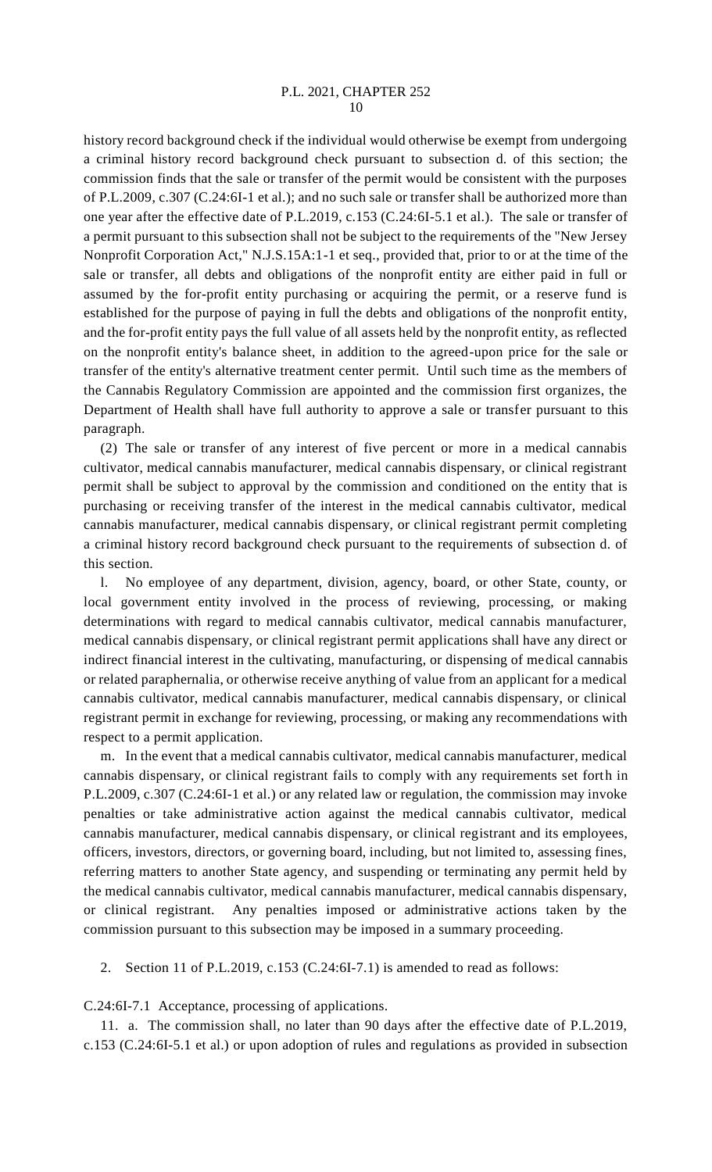## P.L. 2021, CHAPTER 252 10

history record background check if the individual would otherwise be exempt from undergoing a criminal history record background check pursuant to subsection d. of this section; the commission finds that the sale or transfer of the permit would be consistent with the purposes of P.L.2009, c.307 (C.24:6I-1 et al.); and no such sale or transfer shall be authorized more than one year after the effective date of P.L.2019, c.153 (C.24:6I-5.1 et al.). The sale or transfer of a permit pursuant to this subsection shall not be subject to the requirements of the "New Jersey Nonprofit Corporation Act," N.J.S.15A:1-1 et seq., provided that, prior to or at the time of the sale or transfer, all debts and obligations of the nonprofit entity are either paid in full or assumed by the for-profit entity purchasing or acquiring the permit, or a reserve fund is established for the purpose of paying in full the debts and obligations of the nonprofit entity, and the for-profit entity pays the full value of all assets held by the nonprofit entity, as reflected on the nonprofit entity's balance sheet, in addition to the agreed-upon price for the sale or transfer of the entity's alternative treatment center permit. Until such time as the members of the Cannabis Regulatory Commission are appointed and the commission first organizes, the Department of Health shall have full authority to approve a sale or transfer pursuant to this paragraph.

(2) The sale or transfer of any interest of five percent or more in a medical cannabis cultivator, medical cannabis manufacturer, medical cannabis dispensary, or clinical registrant permit shall be subject to approval by the commission and conditioned on the entity that is purchasing or receiving transfer of the interest in the medical cannabis cultivator, medical cannabis manufacturer, medical cannabis dispensary, or clinical registrant permit completing a criminal history record background check pursuant to the requirements of subsection d. of this section.

l. No employee of any department, division, agency, board, or other State, county, or local government entity involved in the process of reviewing, processing, or making determinations with regard to medical cannabis cultivator, medical cannabis manufacturer, medical cannabis dispensary, or clinical registrant permit applications shall have any direct or indirect financial interest in the cultivating, manufacturing, or dispensing of medical cannabis or related paraphernalia, or otherwise receive anything of value from an applicant for a medical cannabis cultivator, medical cannabis manufacturer, medical cannabis dispensary, or clinical registrant permit in exchange for reviewing, processing, or making any recommendations with respect to a permit application.

m. In the event that a medical cannabis cultivator, medical cannabis manufacturer, medical cannabis dispensary, or clinical registrant fails to comply with any requirements set forth in P.L.2009, c.307 (C.24:6I-1 et al.) or any related law or regulation, the commission may invoke penalties or take administrative action against the medical cannabis cultivator, medical cannabis manufacturer, medical cannabis dispensary, or clinical registrant and its employees, officers, investors, directors, or governing board, including, but not limited to, assessing fines, referring matters to another State agency, and suspending or terminating any permit held by the medical cannabis cultivator, medical cannabis manufacturer, medical cannabis dispensary, or clinical registrant. Any penalties imposed or administrative actions taken by the commission pursuant to this subsection may be imposed in a summary proceeding.

2. Section 11 of P.L.2019, c.153 (C.24:6I-7.1) is amended to read as follows:

C.24:6I-7.1 Acceptance, processing of applications.

11. a. The commission shall, no later than 90 days after the effective date of P.L.2019, c.153 (C.24:6I-5.1 et al.) or upon adoption of rules and regulations as provided in subsection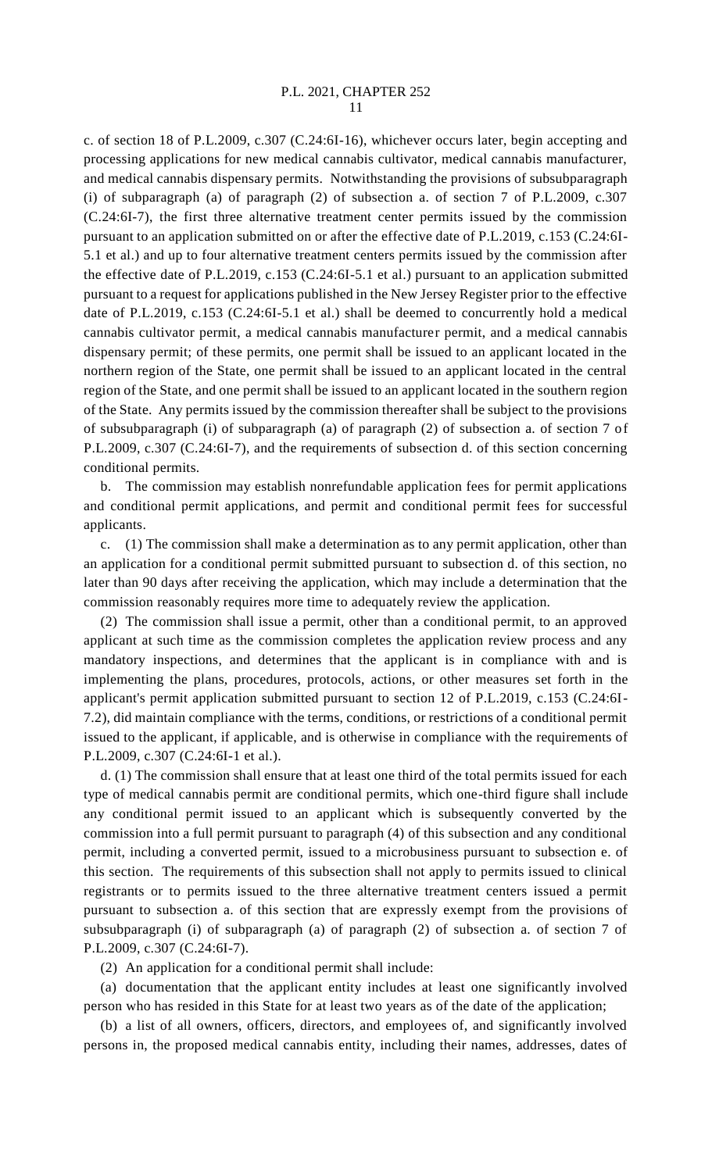## P.L. 2021, CHAPTER 252 11

c. of section 18 of P.L.2009, c.307 (C.24:6I-16), whichever occurs later, begin accepting and processing applications for new medical cannabis cultivator, medical cannabis manufacturer, and medical cannabis dispensary permits. Notwithstanding the provisions of subsubparagraph (i) of subparagraph (a) of paragraph (2) of subsection a. of section 7 of P.L.2009, c.307 (C.24:6I-7), the first three alternative treatment center permits issued by the commission pursuant to an application submitted on or after the effective date of P.L.2019, c.153 (C.24:6I-5.1 et al.) and up to four alternative treatment centers permits issued by the commission after the effective date of P.L.2019, c.153 (C.24:6I-5.1 et al.) pursuant to an application submitted pursuant to a request for applications published in the New Jersey Register prior to the effective date of P.L.2019, c.153 (C.24:6I-5.1 et al.) shall be deemed to concurrently hold a medical cannabis cultivator permit, a medical cannabis manufacturer permit, and a medical cannabis dispensary permit; of these permits, one permit shall be issued to an applicant located in the northern region of the State, one permit shall be issued to an applicant located in the central region of the State, and one permit shall be issued to an applicant located in the southern region of the State. Any permits issued by the commission thereafter shall be subject to the provisions of subsubparagraph (i) of subparagraph (a) of paragraph (2) of subsection a. of section 7 of P.L.2009, c.307 (C.24:6I-7), and the requirements of subsection d. of this section concerning conditional permits.

b. The commission may establish nonrefundable application fees for permit applications and conditional permit applications, and permit and conditional permit fees for successful applicants.

c. (1) The commission shall make a determination as to any permit application, other than an application for a conditional permit submitted pursuant to subsection d. of this section, no later than 90 days after receiving the application, which may include a determination that the commission reasonably requires more time to adequately review the application.

(2) The commission shall issue a permit, other than a conditional permit, to an approved applicant at such time as the commission completes the application review process and any mandatory inspections, and determines that the applicant is in compliance with and is implementing the plans, procedures, protocols, actions, or other measures set forth in the applicant's permit application submitted pursuant to section 12 of P.L.2019, c.153 (C.24:6I-7.2), did maintain compliance with the terms, conditions, or restrictions of a conditional permit issued to the applicant, if applicable, and is otherwise in compliance with the requirements of P.L.2009, c.307 (C.24:6I-1 et al.).

d. (1) The commission shall ensure that at least one third of the total permits issued for each type of medical cannabis permit are conditional permits, which one-third figure shall include any conditional permit issued to an applicant which is subsequently converted by the commission into a full permit pursuant to paragraph (4) of this subsection and any conditional permit, including a converted permit, issued to a microbusiness pursuant to subsection e. of this section. The requirements of this subsection shall not apply to permits issued to clinical registrants or to permits issued to the three alternative treatment centers issued a permit pursuant to subsection a. of this section that are expressly exempt from the provisions of subsubparagraph (i) of subparagraph (a) of paragraph (2) of subsection a. of section 7 of P.L.2009, c.307 (C.24:6I-7).

(2) An application for a conditional permit shall include:

(a) documentation that the applicant entity includes at least one significantly involved person who has resided in this State for at least two years as of the date of the application;

(b) a list of all owners, officers, directors, and employees of, and significantly involved persons in, the proposed medical cannabis entity, including their names, addresses, dates of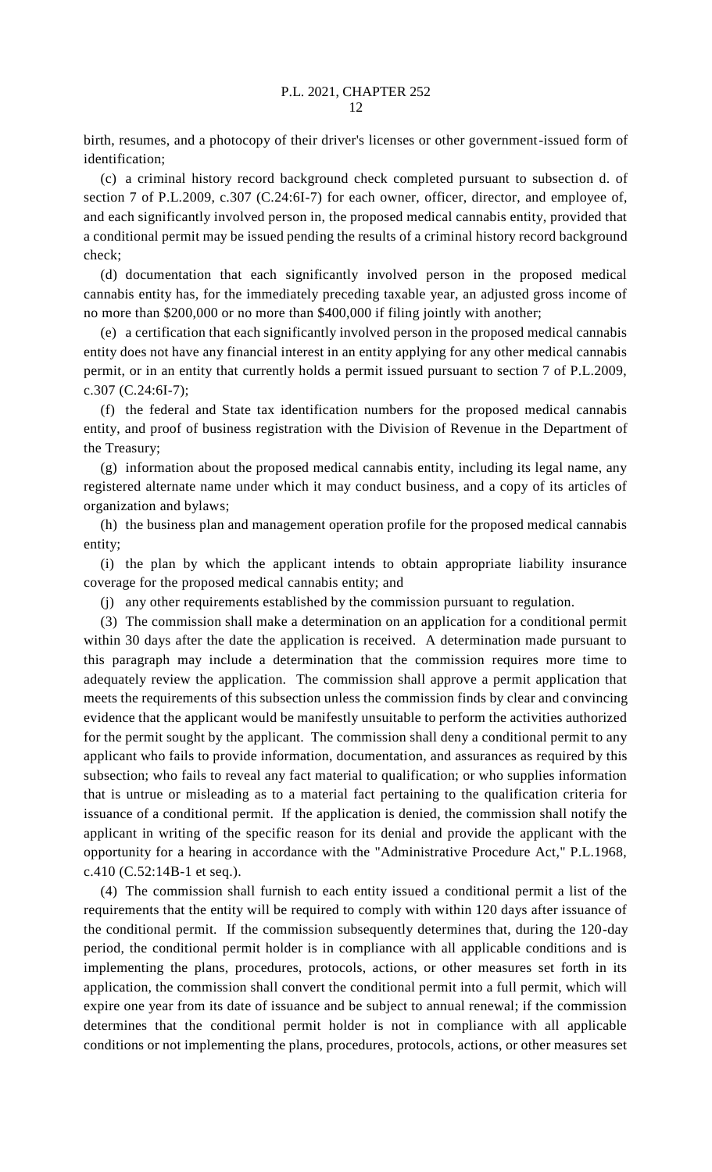birth, resumes, and a photocopy of their driver's licenses or other government-issued form of identification;

(c) a criminal history record background check completed pursuant to subsection d. of section 7 of P.L.2009, c.307 (C.24:6I-7) for each owner, officer, director, and employee of, and each significantly involved person in, the proposed medical cannabis entity, provided that a conditional permit may be issued pending the results of a criminal history record background check;

(d) documentation that each significantly involved person in the proposed medical cannabis entity has, for the immediately preceding taxable year, an adjusted gross income of no more than \$200,000 or no more than \$400,000 if filing jointly with another;

(e) a certification that each significantly involved person in the proposed medical cannabis entity does not have any financial interest in an entity applying for any other medical cannabis permit, or in an entity that currently holds a permit issued pursuant to section 7 of P.L.2009, c.307 (C.24:6I-7);

(f) the federal and State tax identification numbers for the proposed medical cannabis entity, and proof of business registration with the Division of Revenue in the Department of the Treasury;

(g) information about the proposed medical cannabis entity, including its legal name, any registered alternate name under which it may conduct business, and a copy of its articles of organization and bylaws;

(h) the business plan and management operation profile for the proposed medical cannabis entity;

(i) the plan by which the applicant intends to obtain appropriate liability insurance coverage for the proposed medical cannabis entity; and

(j) any other requirements established by the commission pursuant to regulation.

(3) The commission shall make a determination on an application for a conditional permit within 30 days after the date the application is received. A determination made pursuant to this paragraph may include a determination that the commission requires more time to adequately review the application. The commission shall approve a permit application that meets the requirements of this subsection unless the commission finds by clear and convincing evidence that the applicant would be manifestly unsuitable to perform the activities authorized for the permit sought by the applicant. The commission shall deny a conditional permit to any applicant who fails to provide information, documentation, and assurances as required by this subsection; who fails to reveal any fact material to qualification; or who supplies information that is untrue or misleading as to a material fact pertaining to the qualification criteria for issuance of a conditional permit. If the application is denied, the commission shall notify the applicant in writing of the specific reason for its denial and provide the applicant with the opportunity for a hearing in accordance with the "Administrative Procedure Act," P.L.1968, c.410 (C.52:14B-1 et seq.).

(4) The commission shall furnish to each entity issued a conditional permit a list of the requirements that the entity will be required to comply with within 120 days after issuance of the conditional permit. If the commission subsequently determines that, during the 120-day period, the conditional permit holder is in compliance with all applicable conditions and is implementing the plans, procedures, protocols, actions, or other measures set forth in its application, the commission shall convert the conditional permit into a full permit, which will expire one year from its date of issuance and be subject to annual renewal; if the commission determines that the conditional permit holder is not in compliance with all applicable conditions or not implementing the plans, procedures, protocols, actions, or other measures set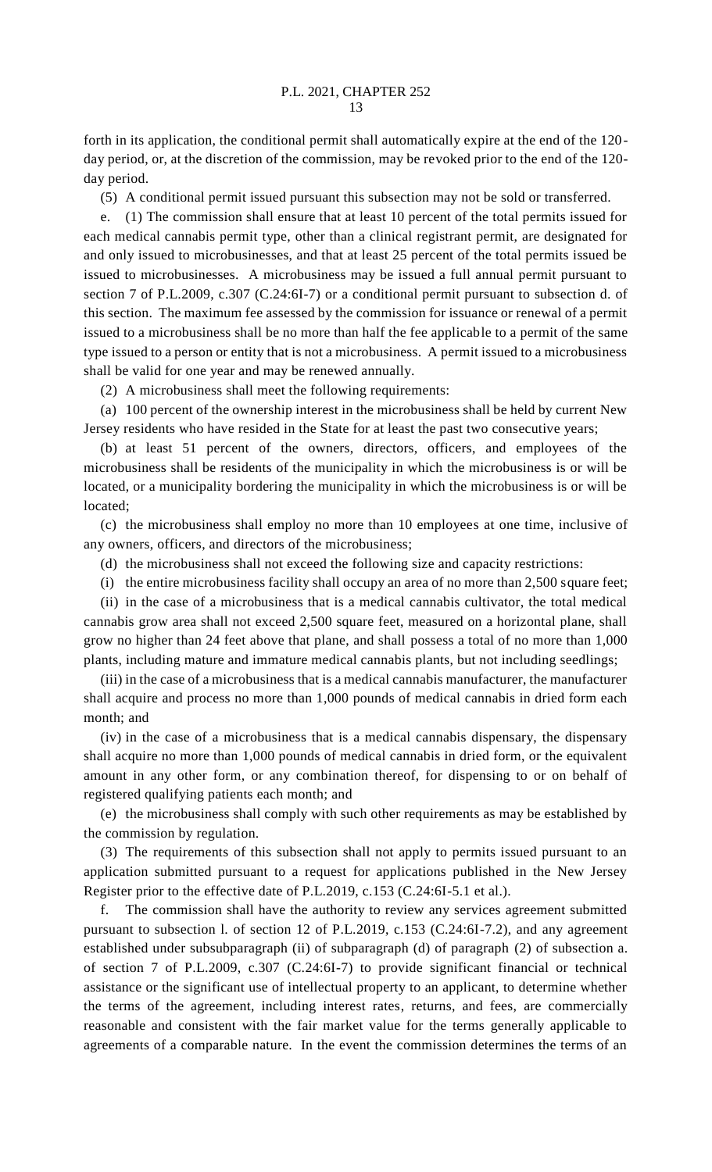forth in its application, the conditional permit shall automatically expire at the end of the 120 day period, or, at the discretion of the commission, may be revoked prior to the end of the 120 day period.

(5) A conditional permit issued pursuant this subsection may not be sold or transferred.

e. (1) The commission shall ensure that at least 10 percent of the total permits issued for each medical cannabis permit type, other than a clinical registrant permit, are designated for and only issued to microbusinesses, and that at least 25 percent of the total permits issued be issued to microbusinesses. A microbusiness may be issued a full annual permit pursuant to section 7 of P.L.2009, c.307 (C.24:6I-7) or a conditional permit pursuant to subsection d. of this section. The maximum fee assessed by the commission for issuance or renewal of a permit issued to a microbusiness shall be no more than half the fee applicable to a permit of the same type issued to a person or entity that is not a microbusiness. A permit issued to a microbusiness shall be valid for one year and may be renewed annually.

(2) A microbusiness shall meet the following requirements:

(a) 100 percent of the ownership interest in the microbusiness shall be held by current New Jersey residents who have resided in the State for at least the past two consecutive years;

(b) at least 51 percent of the owners, directors, officers, and employees of the microbusiness shall be residents of the municipality in which the microbusiness is or will be located, or a municipality bordering the municipality in which the microbusiness is or will be located;

(c) the microbusiness shall employ no more than 10 employees at one time, inclusive of any owners, officers, and directors of the microbusiness;

(d) the microbusiness shall not exceed the following size and capacity restrictions:

(i) the entire microbusiness facility shall occupy an area of no more than 2,500 square feet;

(ii) in the case of a microbusiness that is a medical cannabis cultivator, the total medical cannabis grow area shall not exceed 2,500 square feet, measured on a horizontal plane, shall grow no higher than 24 feet above that plane, and shall possess a total of no more than 1,000 plants, including mature and immature medical cannabis plants, but not including seedlings;

(iii) in the case of a microbusiness that is a medical cannabis manufacturer, the manufacturer shall acquire and process no more than 1,000 pounds of medical cannabis in dried form each month; and

(iv) in the case of a microbusiness that is a medical cannabis dispensary, the dispensary shall acquire no more than 1,000 pounds of medical cannabis in dried form, or the equivalent amount in any other form, or any combination thereof, for dispensing to or on behalf of registered qualifying patients each month; and

(e) the microbusiness shall comply with such other requirements as may be established by the commission by regulation.

(3) The requirements of this subsection shall not apply to permits issued pursuant to an application submitted pursuant to a request for applications published in the New Jersey Register prior to the effective date of P.L.2019, c.153 (C.24:6I-5.1 et al.).

f. The commission shall have the authority to review any services agreement submitted pursuant to subsection l. of section 12 of P.L.2019, c.153 (C.24:6I-7.2), and any agreement established under subsubparagraph (ii) of subparagraph (d) of paragraph (2) of subsection a. of section 7 of P.L.2009, c.307 (C.24:6I-7) to provide significant financial or technical assistance or the significant use of intellectual property to an applicant, to determine whether the terms of the agreement, including interest rates, returns, and fees, are commercially reasonable and consistent with the fair market value for the terms generally applicable to agreements of a comparable nature. In the event the commission determines the terms of an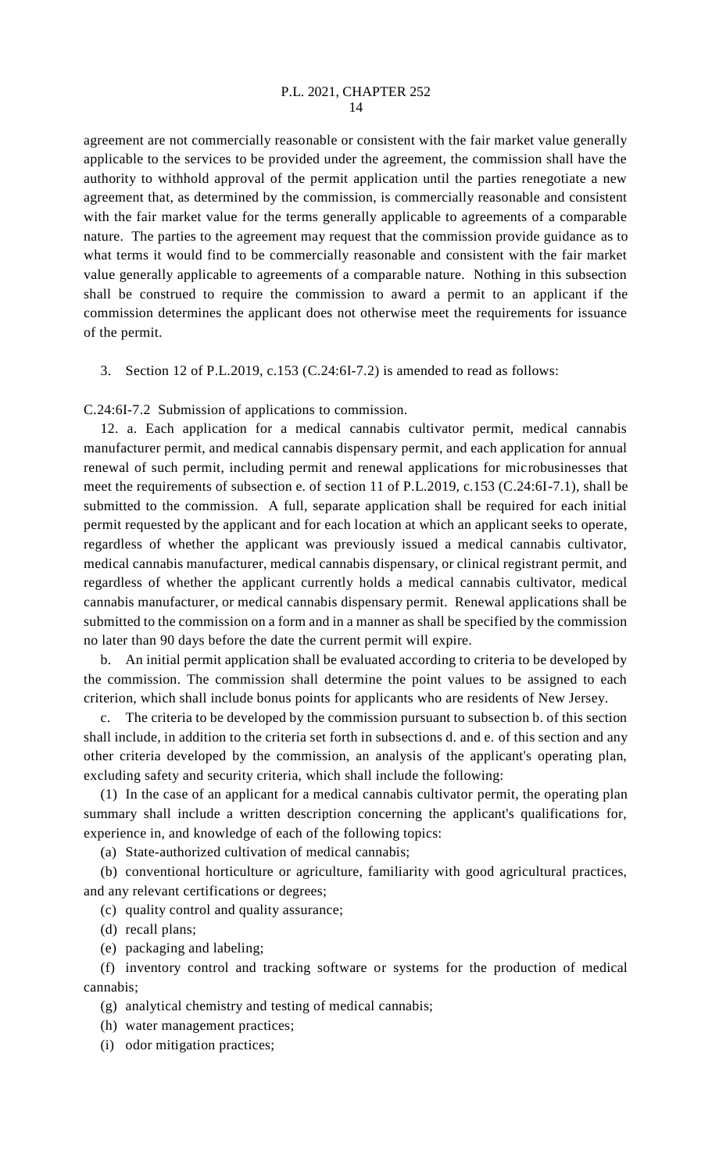agreement are not commercially reasonable or consistent with the fair market value generally applicable to the services to be provided under the agreement, the commission shall have the authority to withhold approval of the permit application until the parties renegotiate a new agreement that, as determined by the commission, is commercially reasonable and consistent with the fair market value for the terms generally applicable to agreements of a comparable nature. The parties to the agreement may request that the commission provide guidance as to what terms it would find to be commercially reasonable and consistent with the fair market value generally applicable to agreements of a comparable nature. Nothing in this subsection shall be construed to require the commission to award a permit to an applicant if the commission determines the applicant does not otherwise meet the requirements for issuance of the permit.

3. Section 12 of P.L.2019, c.153 (C.24:6I-7.2) is amended to read as follows:

C.24:6I-7.2 Submission of applications to commission.

12. a. Each application for a medical cannabis cultivator permit, medical cannabis manufacturer permit, and medical cannabis dispensary permit, and each application for annual renewal of such permit, including permit and renewal applications for microbusinesses that meet the requirements of subsection e. of section 11 of P.L.2019, c.153 (C.24:6I-7.1), shall be submitted to the commission. A full, separate application shall be required for each initial permit requested by the applicant and for each location at which an applicant seeks to operate, regardless of whether the applicant was previously issued a medical cannabis cultivator, medical cannabis manufacturer, medical cannabis dispensary, or clinical registrant permit, and regardless of whether the applicant currently holds a medical cannabis cultivator, medical cannabis manufacturer, or medical cannabis dispensary permit. Renewal applications shall be submitted to the commission on a form and in a manner as shall be specified by the commission no later than 90 days before the date the current permit will expire.

b. An initial permit application shall be evaluated according to criteria to be developed by the commission. The commission shall determine the point values to be assigned to each criterion, which shall include bonus points for applicants who are residents of New Jersey.

The criteria to be developed by the commission pursuant to subsection b. of this section shall include, in addition to the criteria set forth in subsections d. and e. of this section and any other criteria developed by the commission, an analysis of the applicant's operating plan, excluding safety and security criteria, which shall include the following:

(1) In the case of an applicant for a medical cannabis cultivator permit, the operating plan summary shall include a written description concerning the applicant's qualifications for, experience in, and knowledge of each of the following topics:

(a) State-authorized cultivation of medical cannabis;

(b) conventional horticulture or agriculture, familiarity with good agricultural practices, and any relevant certifications or degrees;

(c) quality control and quality assurance;

(d) recall plans;

(e) packaging and labeling;

(f) inventory control and tracking software or systems for the production of medical cannabis;

(g) analytical chemistry and testing of medical cannabis;

(h) water management practices;

(i) odor mitigation practices;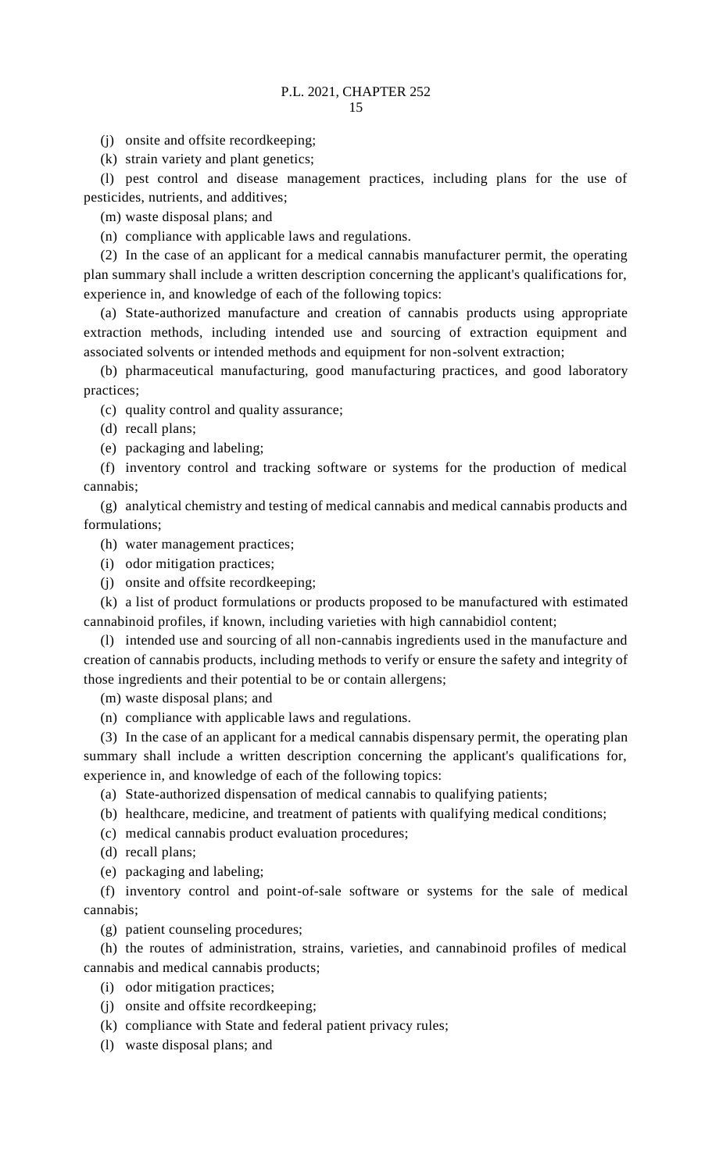(j) onsite and offsite recordkeeping;

(k) strain variety and plant genetics;

(l) pest control and disease management practices, including plans for the use of pesticides, nutrients, and additives;

(m) waste disposal plans; and

(n) compliance with applicable laws and regulations.

(2) In the case of an applicant for a medical cannabis manufacturer permit, the operating plan summary shall include a written description concerning the applicant's qualifications for, experience in, and knowledge of each of the following topics:

(a) State-authorized manufacture and creation of cannabis products using appropriate extraction methods, including intended use and sourcing of extraction equipment and associated solvents or intended methods and equipment for non-solvent extraction;

(b) pharmaceutical manufacturing, good manufacturing practices, and good laboratory practices;

(c) quality control and quality assurance;

(d) recall plans;

(e) packaging and labeling;

(f) inventory control and tracking software or systems for the production of medical cannabis;

(g) analytical chemistry and testing of medical cannabis and medical cannabis products and formulations;

(h) water management practices;

- (i) odor mitigation practices;
- (j) onsite and offsite recordkeeping;

(k) a list of product formulations or products proposed to be manufactured with estimated cannabinoid profiles, if known, including varieties with high cannabidiol content;

(l) intended use and sourcing of all non-cannabis ingredients used in the manufacture and creation of cannabis products, including methods to verify or ensure the safety and integrity of those ingredients and their potential to be or contain allergens;

(m) waste disposal plans; and

(n) compliance with applicable laws and regulations.

(3) In the case of an applicant for a medical cannabis dispensary permit, the operating plan summary shall include a written description concerning the applicant's qualifications for, experience in, and knowledge of each of the following topics:

(a) State-authorized dispensation of medical cannabis to qualifying patients;

(b) healthcare, medicine, and treatment of patients with qualifying medical conditions;

(c) medical cannabis product evaluation procedures;

(d) recall plans;

(e) packaging and labeling;

(f) inventory control and point-of-sale software or systems for the sale of medical cannabis;

(g) patient counseling procedures;

(h) the routes of administration, strains, varieties, and cannabinoid profiles of medical cannabis and medical cannabis products;

(i) odor mitigation practices;

- (j) onsite and offsite recordkeeping;
- (k) compliance with State and federal patient privacy rules;
- (l) waste disposal plans; and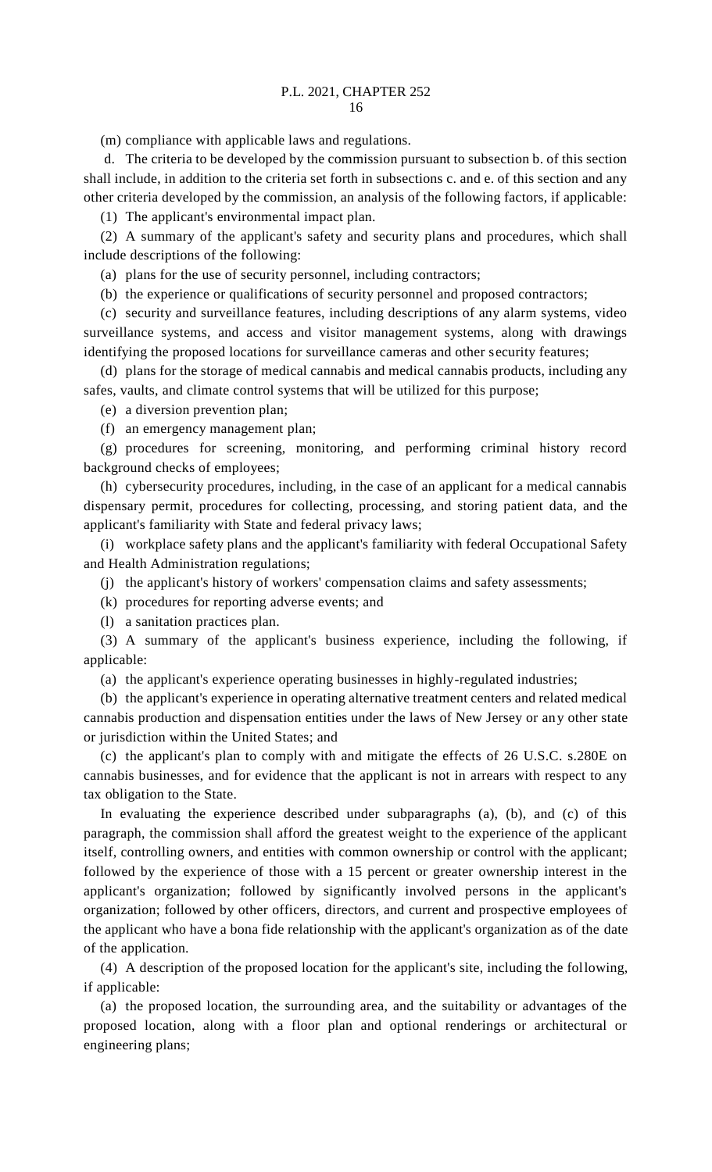(m) compliance with applicable laws and regulations.

d. The criteria to be developed by the commission pursuant to subsection b. of this section shall include, in addition to the criteria set forth in subsections c. and e. of this section and any other criteria developed by the commission, an analysis of the following factors, if applicable:

(1) The applicant's environmental impact plan.

(2) A summary of the applicant's safety and security plans and procedures, which shall include descriptions of the following:

(a) plans for the use of security personnel, including contractors;

(b) the experience or qualifications of security personnel and proposed contractors;

(c) security and surveillance features, including descriptions of any alarm systems, video surveillance systems, and access and visitor management systems, along with drawings identifying the proposed locations for surveillance cameras and other security features;

(d) plans for the storage of medical cannabis and medical cannabis products, including any safes, vaults, and climate control systems that will be utilized for this purpose;

(e) a diversion prevention plan;

(f) an emergency management plan;

(g) procedures for screening, monitoring, and performing criminal history record background checks of employees;

(h) cybersecurity procedures, including, in the case of an applicant for a medical cannabis dispensary permit, procedures for collecting, processing, and storing patient data, and the applicant's familiarity with State and federal privacy laws;

(i) workplace safety plans and the applicant's familiarity with federal Occupational Safety and Health Administration regulations;

(j) the applicant's history of workers' compensation claims and safety assessments;

(k) procedures for reporting adverse events; and

(l) a sanitation practices plan.

(3) A summary of the applicant's business experience, including the following, if applicable:

(a) the applicant's experience operating businesses in highly-regulated industries;

(b) the applicant's experience in operating alternative treatment centers and related medical cannabis production and dispensation entities under the laws of New Jersey or any other state or jurisdiction within the United States; and

(c) the applicant's plan to comply with and mitigate the effects of 26 U.S.C. s.280E on cannabis businesses, and for evidence that the applicant is not in arrears with respect to any tax obligation to the State.

In evaluating the experience described under subparagraphs (a), (b), and (c) of this paragraph, the commission shall afford the greatest weight to the experience of the applicant itself, controlling owners, and entities with common ownership or control with the applicant; followed by the experience of those with a 15 percent or greater ownership interest in the applicant's organization; followed by significantly involved persons in the applicant's organization; followed by other officers, directors, and current and prospective employees of the applicant who have a bona fide relationship with the applicant's organization as of the date of the application.

(4) A description of the proposed location for the applicant's site, including the following, if applicable:

(a) the proposed location, the surrounding area, and the suitability or advantages of the proposed location, along with a floor plan and optional renderings or architectural or engineering plans;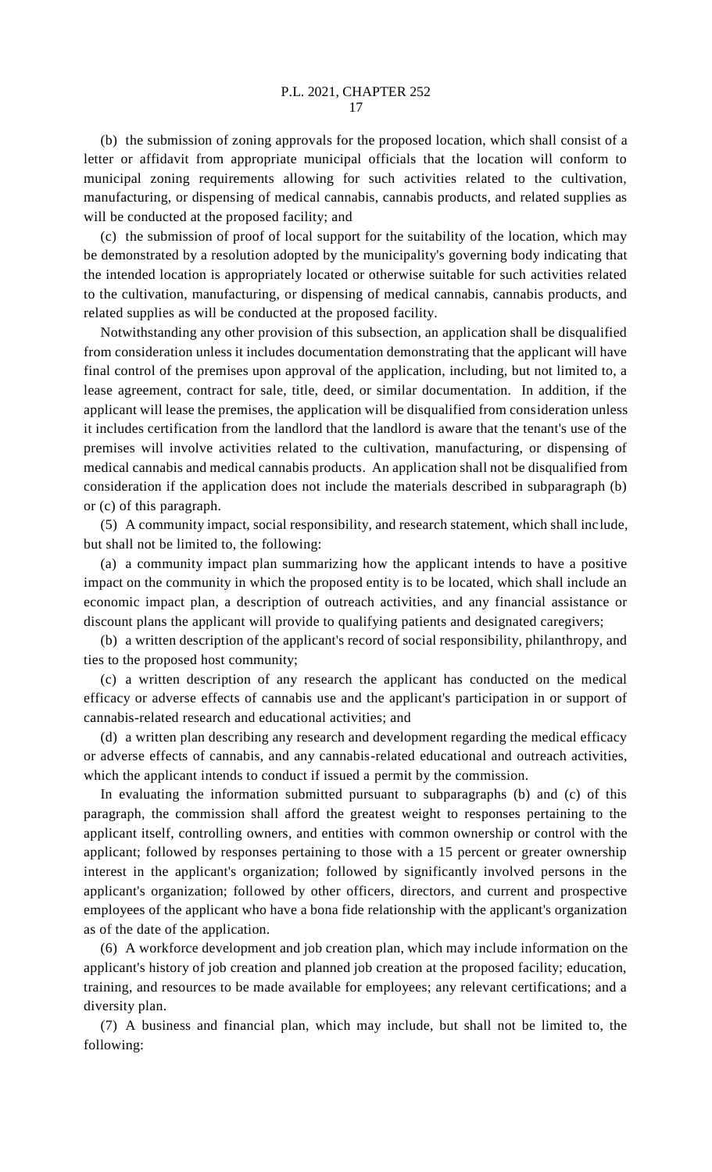(b) the submission of zoning approvals for the proposed location, which shall consist of a letter or affidavit from appropriate municipal officials that the location will conform to municipal zoning requirements allowing for such activities related to the cultivation, manufacturing, or dispensing of medical cannabis, cannabis products, and related supplies as will be conducted at the proposed facility; and

(c) the submission of proof of local support for the suitability of the location, which may be demonstrated by a resolution adopted by the municipality's governing body indicating that the intended location is appropriately located or otherwise suitable for such activities related to the cultivation, manufacturing, or dispensing of medical cannabis, cannabis products, and related supplies as will be conducted at the proposed facility.

Notwithstanding any other provision of this subsection, an application shall be disqualified from consideration unless it includes documentation demonstrating that the applicant will have final control of the premises upon approval of the application, including, but not limited to, a lease agreement, contract for sale, title, deed, or similar documentation. In addition, if the applicant will lease the premises, the application will be disqualified from consideration unless it includes certification from the landlord that the landlord is aware that the tenant's use of the premises will involve activities related to the cultivation, manufacturing, or dispensing of medical cannabis and medical cannabis products. An application shall not be disqualified from consideration if the application does not include the materials described in subparagraph (b) or (c) of this paragraph.

(5) A community impact, social responsibility, and research statement, which shall include, but shall not be limited to, the following:

(a) a community impact plan summarizing how the applicant intends to have a positive impact on the community in which the proposed entity is to be located, which shall include an economic impact plan, a description of outreach activities, and any financial assistance or discount plans the applicant will provide to qualifying patients and designated caregivers;

(b) a written description of the applicant's record of social responsibility, philanthropy, and ties to the proposed host community;

(c) a written description of any research the applicant has conducted on the medical efficacy or adverse effects of cannabis use and the applicant's participation in or support of cannabis-related research and educational activities; and

(d) a written plan describing any research and development regarding the medical efficacy or adverse effects of cannabis, and any cannabis-related educational and outreach activities, which the applicant intends to conduct if issued a permit by the commission.

In evaluating the information submitted pursuant to subparagraphs (b) and (c) of this paragraph, the commission shall afford the greatest weight to responses pertaining to the applicant itself, controlling owners, and entities with common ownership or control with the applicant; followed by responses pertaining to those with a 15 percent or greater ownership interest in the applicant's organization; followed by significantly involved persons in the applicant's organization; followed by other officers, directors, and current and prospective employees of the applicant who have a bona fide relationship with the applicant's organization as of the date of the application.

(6) A workforce development and job creation plan, which may include information on the applicant's history of job creation and planned job creation at the proposed facility; education, training, and resources to be made available for employees; any relevant certifications; and a diversity plan.

(7) A business and financial plan, which may include, but shall not be limited to, the following: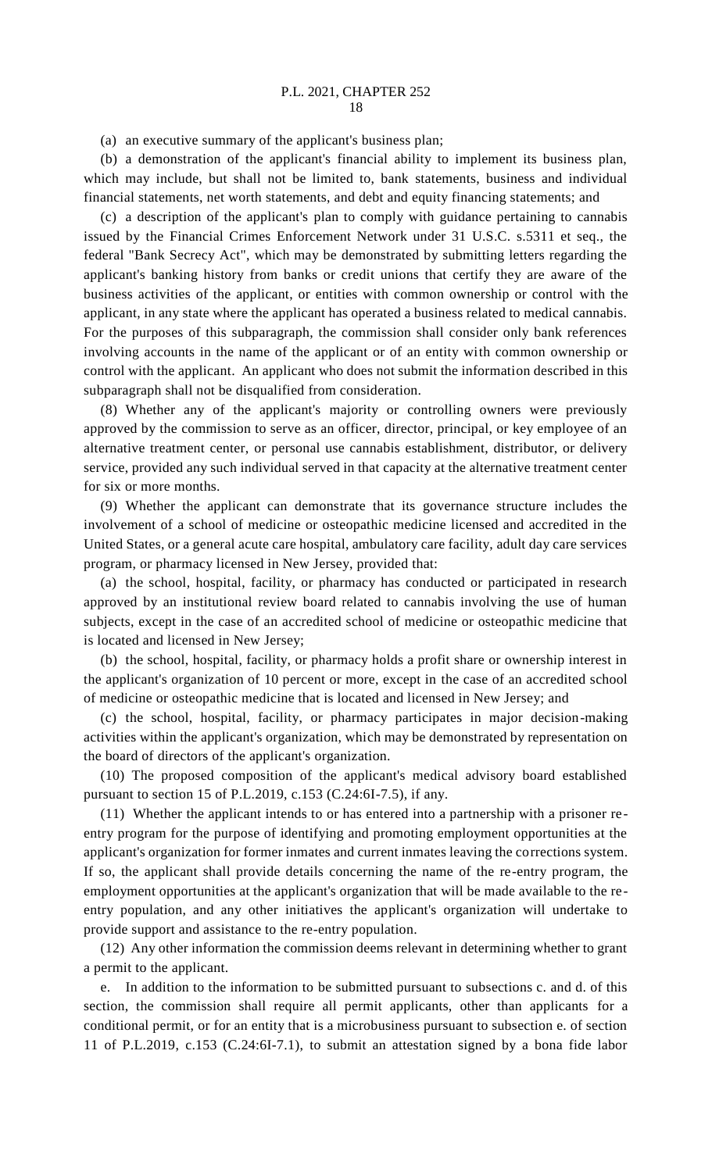(a) an executive summary of the applicant's business plan;

(b) a demonstration of the applicant's financial ability to implement its business plan, which may include, but shall not be limited to, bank statements, business and individual financial statements, net worth statements, and debt and equity financing statements; and

(c) a description of the applicant's plan to comply with guidance pertaining to cannabis issued by the Financial Crimes Enforcement Network under 31 U.S.C. s.5311 et seq., the federal "Bank Secrecy Act", which may be demonstrated by submitting letters regarding the applicant's banking history from banks or credit unions that certify they are aware of the business activities of the applicant, or entities with common ownership or control with the applicant, in any state where the applicant has operated a business related to medical cannabis. For the purposes of this subparagraph, the commission shall consider only bank references involving accounts in the name of the applicant or of an entity with common ownership or control with the applicant. An applicant who does not submit the information described in this subparagraph shall not be disqualified from consideration.

(8) Whether any of the applicant's majority or controlling owners were previously approved by the commission to serve as an officer, director, principal, or key employee of an alternative treatment center, or personal use cannabis establishment, distributor, or delivery service, provided any such individual served in that capacity at the alternative treatment center for six or more months.

(9) Whether the applicant can demonstrate that its governance structure includes the involvement of a school of medicine or osteopathic medicine licensed and accredited in the United States, or a general acute care hospital, ambulatory care facility, adult day care services program, or pharmacy licensed in New Jersey, provided that:

(a) the school, hospital, facility, or pharmacy has conducted or participated in research approved by an institutional review board related to cannabis involving the use of human subjects, except in the case of an accredited school of medicine or osteopathic medicine that is located and licensed in New Jersey;

(b) the school, hospital, facility, or pharmacy holds a profit share or ownership interest in the applicant's organization of 10 percent or more, except in the case of an accredited school of medicine or osteopathic medicine that is located and licensed in New Jersey; and

(c) the school, hospital, facility, or pharmacy participates in major decision-making activities within the applicant's organization, which may be demonstrated by representation on the board of directors of the applicant's organization.

(10) The proposed composition of the applicant's medical advisory board established pursuant to section 15 of P.L.2019, c.153 (C.24:6I-7.5), if any.

(11) Whether the applicant intends to or has entered into a partnership with a prisoner reentry program for the purpose of identifying and promoting employment opportunities at the applicant's organization for former inmates and current inmates leaving the corrections system. If so, the applicant shall provide details concerning the name of the re-entry program, the employment opportunities at the applicant's organization that will be made available to the reentry population, and any other initiatives the applicant's organization will undertake to provide support and assistance to the re-entry population.

(12) Any other information the commission deems relevant in determining whether to grant a permit to the applicant.

e. In addition to the information to be submitted pursuant to subsections c. and d. of this section, the commission shall require all permit applicants, other than applicants for a conditional permit, or for an entity that is a microbusiness pursuant to subsection e. of section 11 of P.L.2019, c.153 (C.24:6I-7.1), to submit an attestation signed by a bona fide labor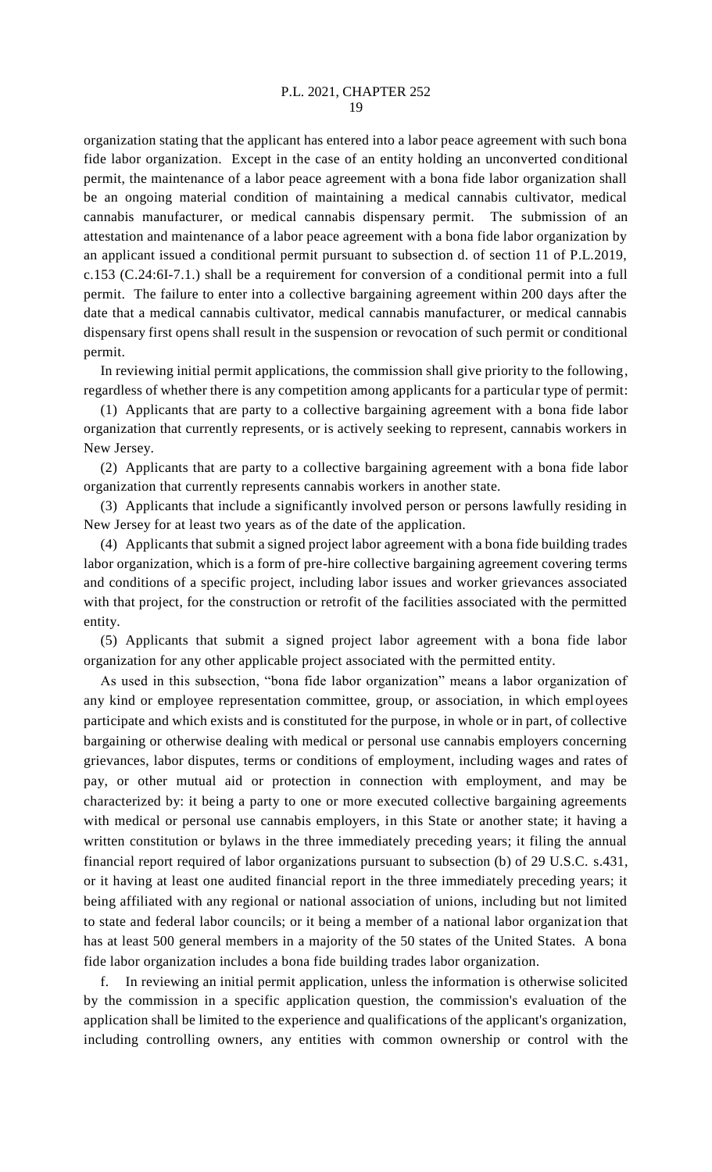organization stating that the applicant has entered into a labor peace agreement with such bona fide labor organization. Except in the case of an entity holding an unconverted conditional permit, the maintenance of a labor peace agreement with a bona fide labor organization shall be an ongoing material condition of maintaining a medical cannabis cultivator, medical cannabis manufacturer, or medical cannabis dispensary permit. The submission of an attestation and maintenance of a labor peace agreement with a bona fide labor organization by an applicant issued a conditional permit pursuant to subsection d. of section 11 of P.L.2019, c.153 (C.24:6I-7.1.) shall be a requirement for conversion of a conditional permit into a full permit. The failure to enter into a collective bargaining agreement within 200 days after the date that a medical cannabis cultivator, medical cannabis manufacturer, or medical cannabis dispensary first opens shall result in the suspension or revocation of such permit or conditional permit.

In reviewing initial permit applications, the commission shall give priority to the following, regardless of whether there is any competition among applicants for a particular type of permit:

(1) Applicants that are party to a collective bargaining agreement with a bona fide labor organization that currently represents, or is actively seeking to represent, cannabis workers in New Jersey.

(2) Applicants that are party to a collective bargaining agreement with a bona fide labor organization that currently represents cannabis workers in another state.

(3) Applicants that include a significantly involved person or persons lawfully residing in New Jersey for at least two years as of the date of the application.

(4) Applicants that submit a signed project labor agreement with a bona fide building trades labor organization, which is a form of pre-hire collective bargaining agreement covering terms and conditions of a specific project, including labor issues and worker grievances associated with that project, for the construction or retrofit of the facilities associated with the permitted entity.

(5) Applicants that submit a signed project labor agreement with a bona fide labor organization for any other applicable project associated with the permitted entity.

As used in this subsection, "bona fide labor organization" means a labor organization of any kind or employee representation committee, group, or association, in which employees participate and which exists and is constituted for the purpose, in whole or in part, of collective bargaining or otherwise dealing with medical or personal use cannabis employers concerning grievances, labor disputes, terms or conditions of employment, including wages and rates of pay, or other mutual aid or protection in connection with employment, and may be characterized by: it being a party to one or more executed collective bargaining agreements with medical or personal use cannabis employers, in this State or another state; it having a written constitution or bylaws in the three immediately preceding years; it filing the annual financial report required of labor organizations pursuant to subsection (b) of 29 U.S.C. s.431, or it having at least one audited financial report in the three immediately preceding years; it being affiliated with any regional or national association of unions, including but not limited to state and federal labor councils; or it being a member of a national labor organization that has at least 500 general members in a majority of the 50 states of the United States. A bona fide labor organization includes a bona fide building trades labor organization.

f. In reviewing an initial permit application, unless the information is otherwise solicited by the commission in a specific application question, the commission's evaluation of the application shall be limited to the experience and qualifications of the applicant's organization, including controlling owners, any entities with common ownership or control with the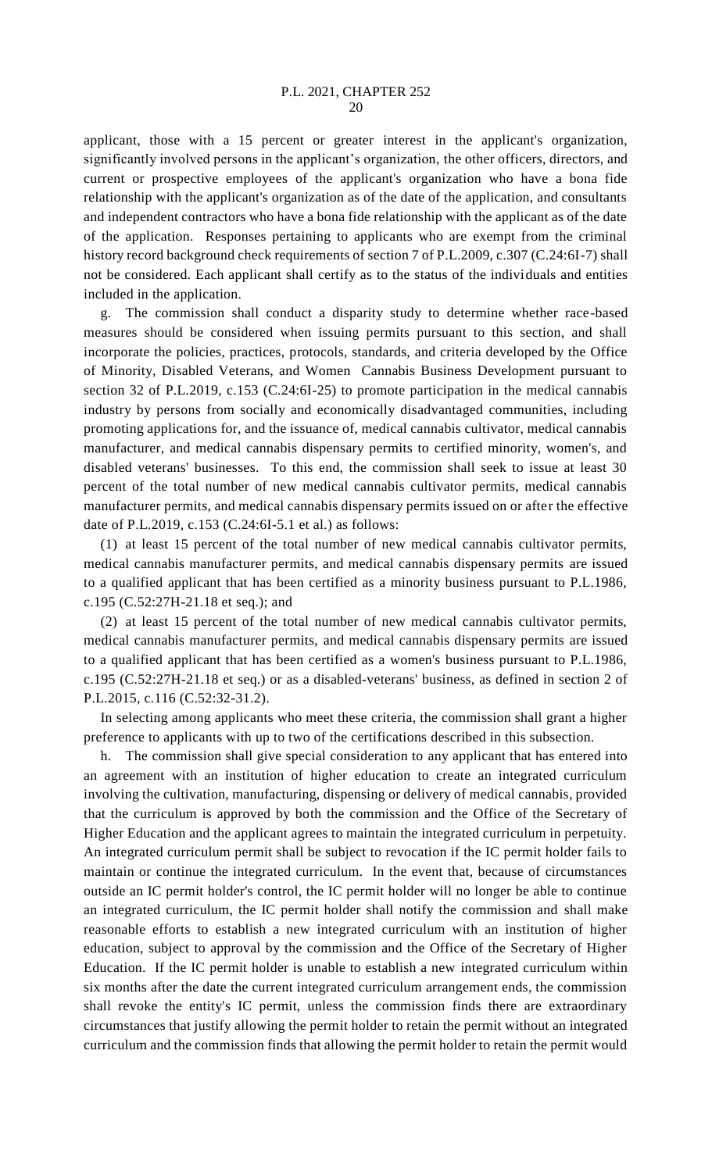applicant, those with a 15 percent or greater interest in the applicant's organization, significantly involved persons in the applicant's organization, the other officers, directors, and current or prospective employees of the applicant's organization who have a bona fide relationship with the applicant's organization as of the date of the application, and consultants and independent contractors who have a bona fide relationship with the applicant as of the date of the application. Responses pertaining to applicants who are exempt from the criminal history record background check requirements of section 7 of P.L.2009, c.307 (C.24:6I-7) shall not be considered. Each applicant shall certify as to the status of the individuals and entities included in the application.

g. The commission shall conduct a disparity study to determine whether race-based measures should be considered when issuing permits pursuant to this section, and shall incorporate the policies, practices, protocols, standards, and criteria developed by the Office of Minority, Disabled Veterans, and Women Cannabis Business Development pursuant to section 32 of P.L.2019, c.153 (C.24:6I-25) to promote participation in the medical cannabis industry by persons from socially and economically disadvantaged communities, including promoting applications for, and the issuance of, medical cannabis cultivator, medical cannabis manufacturer, and medical cannabis dispensary permits to certified minority, women's, and disabled veterans' businesses. To this end, the commission shall seek to issue at least 30 percent of the total number of new medical cannabis cultivator permits, medical cannabis manufacturer permits, and medical cannabis dispensary permits issued on or after the effective date of P.L.2019, c.153 (C.24:6I-5.1 et al.) as follows:

(1) at least 15 percent of the total number of new medical cannabis cultivator permits, medical cannabis manufacturer permits, and medical cannabis dispensary permits are issued to a qualified applicant that has been certified as a minority business pursuant to P.L.1986, c.195 (C.52:27H-21.18 et seq.); and

(2) at least 15 percent of the total number of new medical cannabis cultivator permits, medical cannabis manufacturer permits, and medical cannabis dispensary permits are issued to a qualified applicant that has been certified as a women's business pursuant to P.L.1986, c.195 (C.52:27H-21.18 et seq.) or as a disabled-veterans' business, as defined in section 2 of P.L.2015, c.116 (C.52:32-31.2).

In selecting among applicants who meet these criteria, the commission shall grant a higher preference to applicants with up to two of the certifications described in this subsection.

h. The commission shall give special consideration to any applicant that has entered into an agreement with an institution of higher education to create an integrated curriculum involving the cultivation, manufacturing, dispensing or delivery of medical cannabis, provided that the curriculum is approved by both the commission and the Office of the Secretary of Higher Education and the applicant agrees to maintain the integrated curriculum in perpetuity. An integrated curriculum permit shall be subject to revocation if the IC permit holder fails to maintain or continue the integrated curriculum. In the event that, because of circumstances outside an IC permit holder's control, the IC permit holder will no longer be able to continue an integrated curriculum, the IC permit holder shall notify the commission and shall make reasonable efforts to establish a new integrated curriculum with an institution of higher education, subject to approval by the commission and the Office of the Secretary of Higher Education. If the IC permit holder is unable to establish a new integrated curriculum within six months after the date the current integrated curriculum arrangement ends, the commission shall revoke the entity's IC permit, unless the commission finds there are extraordinary circumstances that justify allowing the permit holder to retain the permit without an integrated curriculum and the commission finds that allowing the permit holder to retain the permit would